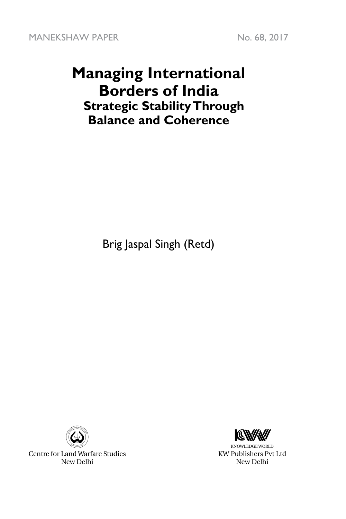MANEKSHAW PAPER No. 68, 2017

## **Managing International Borders of India Strategic Stability Through Balance and Coherence**

Brig Jaspal Singh (Retd)



Centre for Land Warfare Studies New Delhi



KNOWLEDGE WORLD KW Publishers Pvt Ltd New Delhi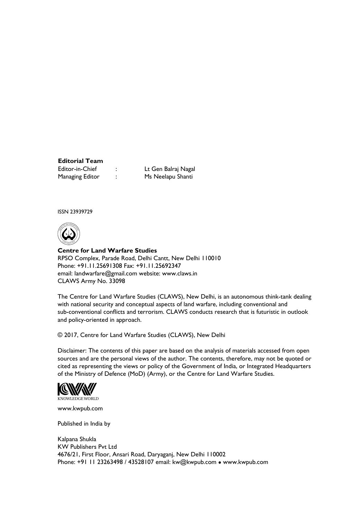## **Editorial Team**

Editor-in-Chief : Lt Gen Balraj Nagal Managing Editor : Ms Neelapu Shanti

ISSN 23939729



**Centre for Land Warfare Studies**  RPSO Complex, Parade Road, Delhi Cantt, New Delhi 110010 Phone: +91.11.25691308 Fax: +91.11.25692347 email: landwarfare@gmail.com website: www.claws.in CLAWS Army No. 33098

The Centre for Land Warfare Studies (CLAWS), New Delhi, is an autonomous think-tank dealing with national security and conceptual aspects of land warfare, including conventional and sub-conventional conflicts and terrorism. CLAWS conducts research that is futuristic in outlook and policy-oriented in approach.

© 2017, Centre for Land Warfare Studies (CLAWS), New Delhi

Disclaimer: The contents of this paper are based on the analysis of materials accessed from open sources and are the personal views of the author. The contents, therefore, may not be quoted or cited as representing the views or policy of the Government of India, or Integrated Headquarters of the Ministry of Defence (MoD) (Army), or the Centre for Land Warfare Studies.



www.kwpub.com

Published in India by

Kalpana Shukla KW Publishers Pvt Ltd 4676/21, First Floor, Ansari Road, Daryaganj, New Delhi 110002 Phone: +91 11 23263498 / 43528107 email: kw@kwpub.com · www.kwpub.com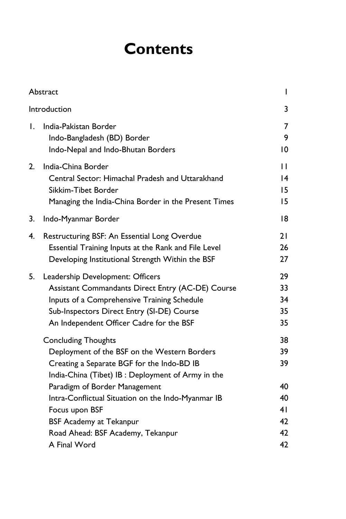# **Contents**

|    | Abstract                                                                                                                                                                                                                       | I                          |  |
|----|--------------------------------------------------------------------------------------------------------------------------------------------------------------------------------------------------------------------------------|----------------------------|--|
|    | Introduction                                                                                                                                                                                                                   | 3                          |  |
| Ι. | India-Pakistan Border<br>Indo-Bangladesh (BD) Border<br>Indo-Nepal and Indo-Bhutan Borders                                                                                                                                     |                            |  |
| 2. | India-China Border<br>Central Sector: Himachal Pradesh and Uttarakhand<br>Sikkim-Tibet Border<br>Managing the India-China Border in the Present Times                                                                          |                            |  |
| 3. | Indo-Myanmar Border                                                                                                                                                                                                            | 18                         |  |
| 4. | Restructuring BSF: An Essential Long Overdue<br>Essential Training Inputs at the Rank and File Level<br>Developing Institutional Strength Within the BSF                                                                       | 21<br>26<br>27             |  |
| 5. | Leadership Development: Officers<br>Assistant Commandants Direct Entry (AC-DE) Course<br>Inputs of a Comprehensive Training Schedule<br>Sub-Inspectors Direct Entry (SI-DE) Course<br>An Independent Officer Cadre for the BSF | 29<br>33<br>34<br>35<br>35 |  |
|    | <b>Concluding Thoughts</b><br>Deployment of the BSF on the Western Borders<br>Creating a Separate BGF for the Indo-BD IB<br>India-China (Tibet) IB: Deployment of Army in the                                                  | 38<br>39<br>39             |  |
|    | Paradigm of Border Management<br>Intra-Conflictual Situation on the Indo-Myanmar IB<br>Focus upon BSF<br><b>BSF Academy at Tekanpur</b>                                                                                        | 40<br>40<br>41<br>42       |  |
|    | Road Ahead: BSF Academy, Tekanpur<br>A Final Word                                                                                                                                                                              | 42<br>42                   |  |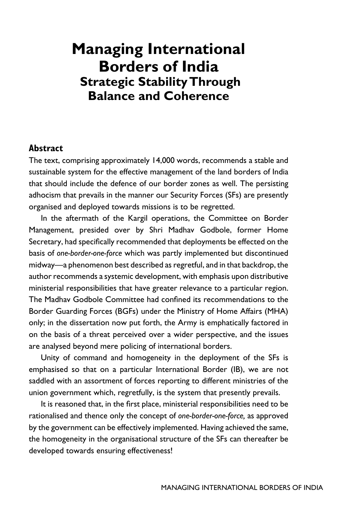## **Managing International Borders of India Strategic Stability Through Balance and Coherence**

#### **Abstract**

The text, comprising approximately 14,000 words, recommends a stable and sustainable system for the effective management of the land borders of India that should include the defence of our border zones as well. The persisting adhocism that prevails in the manner our Security Forces (SFs) are presently organised and deployed towards missions is to be regretted.

In the aftermath of the Kargil operations, the Committee on Border Management, presided over by Shri Madhav Godbole, former Home Secretary, had specifically recommended that deployments be effected on the basis of *one-border-one-force* which was partly implemented but discontinued midway—a phenomenon best described as regretful, and in that backdrop, the author recommends a systemic development, with emphasis upon distributive ministerial responsibilities that have greater relevance to a particular region. The Madhav Godbole Committee had confined its recommendations to the Border Guarding Forces (BGFs) under the Ministry of Home Affairs (MHA) only; in the dissertation now put forth, the Army is emphatically factored in on the basis of a threat perceived over a wider perspective, and the issues are analysed beyond mere policing of international borders.

Unity of command and homogeneity in the deployment of the SFs is emphasised so that on a particular International Border (IB), we are not saddled with an assortment of forces reporting to different ministries of the union government which, regretfully, is the system that presently prevails.

It is reasoned that, in the first place, ministerial responsibilities need to be rationalised and thence only the concept of *one-border-one-force,* as approved by the government can be effectively implemented. Having achieved the same, the homogeneity in the organisational structure of the SFs can thereafter be developed towards ensuring effectiveness!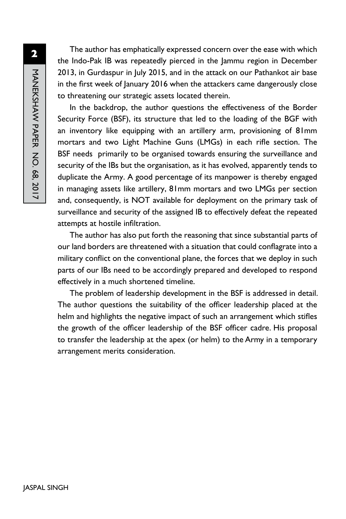**2**MANEKSHAW PAPER NO. 68, 2017 MANEKSHAW PAPER No. 68, 2017

The author has emphatically expressed concern over the ease with which the Indo-Pak IB was repeatedly pierced in the Jammu region in December 2013, in Gurdaspur in July 2015, and in the attack on our Pathankot air base in the first week of January 2016 when the attackers came dangerously close to threatening our strategic assets located therein.

In the backdrop, the author questions the effectiveness of the Border Security Force (BSF), its structure that led to the loading of the BGF with an inventory like equipping with an artillery arm, provisioning of 81mm mortars and two Light Machine Guns (LMGs) in each rifle section. The BSF needs primarily to be organised towards ensuring the surveillance and security of the IBs but the organisation, as it has evolved, apparently tends to duplicate the Army. A good percentage of its manpower is thereby engaged in managing assets like artillery, 81mm mortars and two LMGs per section and, consequently, is NOT available for deployment on the primary task of surveillance and security of the assigned IB to effectively defeat the repeated attempts at hostile infiltration.

The author has also put forth the reasoning that since substantial parts of our land borders are threatened with a situation that could conflagrate into a military conflict on the conventional plane, the forces that we deploy in such parts of our IBs need to be accordingly prepared and developed to respond effectively in a much shortened timeline.

The problem of leadership development in the BSF is addressed in detail. The author questions the suitability of the officer leadership placed at the helm and highlights the negative impact of such an arrangement which stifles the growth of the officer leadership of the BSF officer cadre. His proposal to transfer the leadership at the apex (or helm) to the Army in a temporary arrangement merits consideration.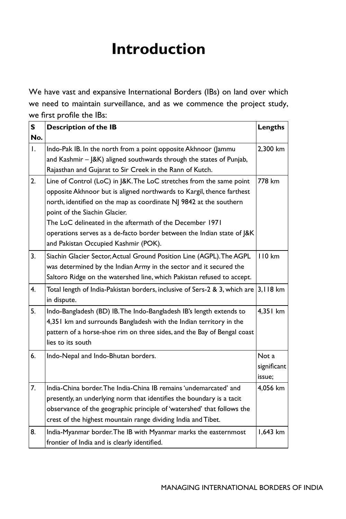# **Introduction**

We have vast and expansive International Borders (IBs) on land over which we need to maintain surveillance, and as we commence the project study, we first profile the IBs:

| S            | <b>Description of the IB</b>                                                                                                                                                                                                                                                                                                                                                                                                      | Lengths                        |
|--------------|-----------------------------------------------------------------------------------------------------------------------------------------------------------------------------------------------------------------------------------------------------------------------------------------------------------------------------------------------------------------------------------------------------------------------------------|--------------------------------|
| No.          |                                                                                                                                                                                                                                                                                                                                                                                                                                   |                                |
| $\mathsf{L}$ | Indo-Pak IB. In the north from a point opposite Akhnoor (Jammu<br>and Kashmir - J&K) aligned southwards through the states of Punjab,                                                                                                                                                                                                                                                                                             | 2,300 km                       |
|              | Rajasthan and Gujarat to Sir Creek in the Rann of Kutch.                                                                                                                                                                                                                                                                                                                                                                          |                                |
| 2.           | Line of Control (LoC) in J&K. The LoC stretches from the same point<br>opposite Akhnoor but is aligned northwards to Kargil, thence farthest<br>north, identified on the map as coordinate NJ 9842 at the southern<br>point of the Siachin Glacier.<br>The LoC delineated in the aftermath of the December 1971<br>operations serves as a de-facto border between the Indian state of J&K<br>and Pakistan Occupied Kashmir (POK). | 778 km                         |
| 3.           | Siachin Glacier Sector, Actual Ground Position Line (AGPL). The AGPL<br>was determined by the Indian Army in the sector and it secured the<br>Saltoro Ridge on the watershed line, which Pakistan refused to accept.                                                                                                                                                                                                              | <b>110 km</b>                  |
| 4.           | Total length of India-Pakistan borders, inclusive of Sers-2 & 3, which are<br>in dispute.                                                                                                                                                                                                                                                                                                                                         | 3,118 km                       |
| 5.           | Indo-Bangladesh (BD) IB. The Indo-Bangladesh IB's length extends to<br>4,351 km and surrounds Bangladesh with the Indian territory in the<br>pattern of a horse-shoe rim on three sides, and the Bay of Bengal coast<br>lies to its south                                                                                                                                                                                         | 4,351 km                       |
| 6.           | Indo-Nepal and Indo-Bhutan borders.                                                                                                                                                                                                                                                                                                                                                                                               | Not a<br>significant<br>issue; |
| 7.           | India-China border. The India-China IB remains 'undemarcated' and<br>presently, an underlying norm that identifies the boundary is a tacit<br>observance of the geographic principle of 'watershed' that follows the<br>crest of the highest mountain range dividing India and Tibet.                                                                                                                                             | 4.056 km                       |
| 8.           | India-Myanmar border. The IB with Myanmar marks the easternmost<br>frontier of India and is clearly identified.                                                                                                                                                                                                                                                                                                                   | 1,643 km                       |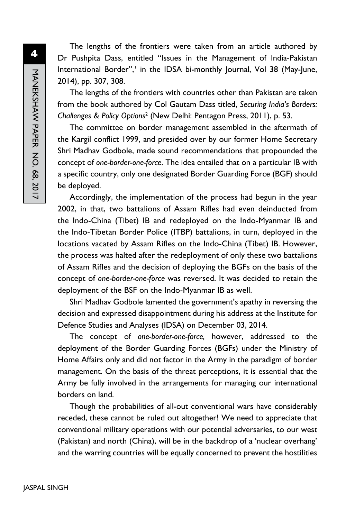The lengths of the frontiers were taken from an article authored by Dr Pushpita Dass, entitled "Issues in the Management of India-Pakistan International Border",<sup>1</sup> in the IDSA bi-monthly Journal, Vol 38 (May-June, 2014), pp. 307, 308.

The lengths of the frontiers with countries other than Pakistan are taken from the book authored by Col Gautam Dass titled, *Securing India's Borders: Challenges & Policy Options*<sup>2</sup> (New Delhi: Pentagon Press, 2011), p. 53.

The committee on border management assembled in the aftermath of the Kargil conflict 1999, and presided over by our former Home Secretary Shri Madhav Godbole, made sound recommendations that propounded the concept of *one-border-one-force*. The idea entailed that on a particular IB with a specific country, only one designated Border Guarding Force (BGF) should be deployed.

Accordingly, the implementation of the process had begun in the year 2002, in that, two battalions of Assam Rifles had even deinducted from the Indo-China (Tibet) IB and redeployed on the Indo-Myanmar IB and the Indo-Tibetan Border Police (ITBP) battalions, in turn, deployed in the locations vacated by Assam Rifles on the Indo-China (Tibet) IB. However, the process was halted after the redeployment of only these two battalions of Assam Rifles and the decision of deploying the BGFs on the basis of the concept of *one-border-one-force* was reversed. It was decided to retain the deployment of the BSF on the Indo-Myanmar IB as well.

Shri Madhav Godbole lamented the government's apathy in reversing the decision and expressed disappointment during his address at the Institute for Defence Studies and Analyses (IDSA) on December 03, 2014.

The concept of *one-border-one-force,* however, addressed to the deployment of the Border Guarding Forces (BGFs) under the Ministry of Home Affairs only and did not factor in the Army in the paradigm of border management. On the basis of the threat perceptions, it is essential that the Army be fully involved in the arrangements for managing our international borders on land.

Though the probabilities of all-out conventional wars have considerably receded, these cannot be ruled out altogether! We need to appreciate that conventional military operations with our potential adversaries, to our west (Pakistan) and north (China), will be in the backdrop of a 'nuclear overhang' and the warring countries will be equally concerned to prevent the hostilities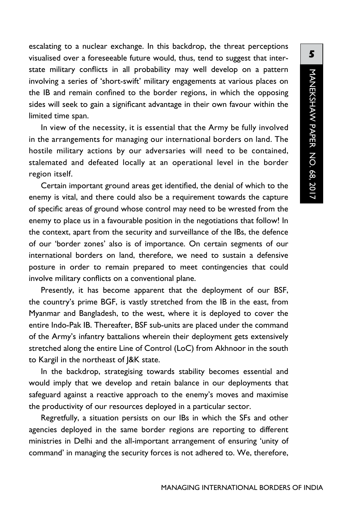escalating to a nuclear exchange. In this backdrop, the threat perceptions visualised over a foreseeable future would, thus, tend to suggest that interstate military conflicts in all probability may well develop on a pattern involving a series of 'short-swift' military engagements at various places on the IB and remain confined to the border regions, in which the opposing sides will seek to gain a significant advantage in their own favour within the limited time span.

In view of the necessity, it is essential that the Army be fully involved in the arrangements for managing our international borders on land. The hostile military actions by our adversaries will need to be contained, stalemated and defeated locally at an operational level in the border region itself.

Certain important ground areas get identified, the denial of which to the enemy is vital, and there could also be a requirement towards the capture of specific areas of ground whose control may need to be wrested from the enemy to place us in a favourable position in the negotiations that follow! In the context, apart from the security and surveillance of the IBs, the defence of our 'border zones' also is of importance. On certain segments of our international borders on land, therefore, we need to sustain a defensive posture in order to remain prepared to meet contingencies that could involve military conflicts on a conventional plane.

Presently, it has become apparent that the deployment of our BSF, the country's prime BGF, is vastly stretched from the IB in the east, from Myanmar and Bangladesh, to the west, where it is deployed to cover the entire Indo-Pak IB. Thereafter, BSF sub-units are placed under the command of the Army's infantry battalions wherein their deployment gets extensively stretched along the entire Line of Control (LoC) from Akhnoor in the south to Kargil in the northeast of J&K state.

In the backdrop, strategising towards stability becomes essential and would imply that we develop and retain balance in our deployments that safeguard against a reactive approach to the enemy's moves and maximise the productivity of our resources deployed in a particular sector.

Regretfully, a situation persists on our IBs in which the SFs and other agencies deployed in the same border regions are reporting to different ministries in Delhi and the all-important arrangement of ensuring 'unity of command' in managing the security forces is not adhered to. We, therefore,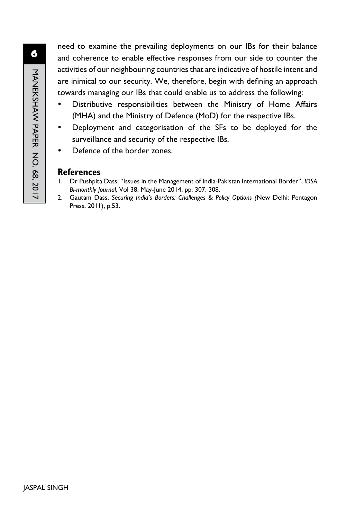need to examine the prevailing deployments on our IBs for their balance and coherence to enable effective responses from our side to counter the activities of our neighbouring countries that are indicative of hostile intent and are inimical to our security. We, therefore, begin with defining an approach towards managing our IBs that could enable us to address the following:

- Distributive responsibilities between the Ministry of Home Affairs (MHA) and the Ministry of Defence (MoD) for the respective IBs.
- Deployment and categorisation of the SFs to be deployed for the surveillance and security of the respective IBs.
- Defence of the border zones.

#### **References**

- 1. Dr Pushpita Dass, "Issues in the Management of India-Pakistan International Border", *IDSA Bi-monthly Journal,* Vol 38, May-June 2014, pp. 307, 308.
- 2. Gautam Dass, *Securing India's Borders: Challenges & Policy Options (*New Delhi: Pentagon Press, 2011), p.53.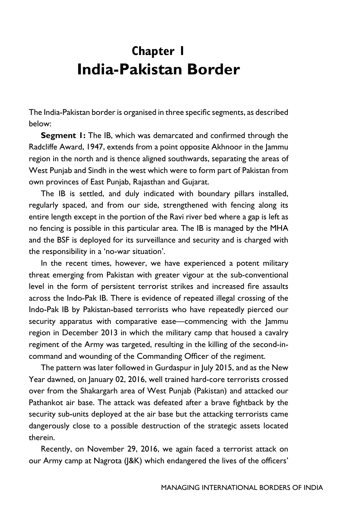## **Chapter 1 India-Pakistan Border**

The India-Pakistan border is organised in three specific segments, as described below:

**Segment 1:** The IB, which was demarcated and confirmed through the Radcliffe Award, 1947, extends from a point opposite Akhnoor in the Jammu region in the north and is thence aligned southwards, separating the areas of West Punjab and Sindh in the west which were to form part of Pakistan from own provinces of East Punjab, Rajasthan and Gujarat.

The IB is settled, and duly indicated with boundary pillars installed, regularly spaced, and from our side, strengthened with fencing along its entire length except in the portion of the Ravi river bed where a gap is left as no fencing is possible in this particular area. The IB is managed by the MHA and the BSF is deployed for its surveillance and security and is charged with the responsibility in a 'no-war situation'.

In the recent times, however, we have experienced a potent military threat emerging from Pakistan with greater vigour at the sub-conventional level in the form of persistent terrorist strikes and increased fire assaults across the Indo-Pak IB. There is evidence of repeated illegal crossing of the Indo-Pak IB by Pakistan-based terrorists who have repeatedly pierced our security apparatus with comparative ease—commencing with the Jammu region in December 2013 in which the military camp that housed a cavalry regiment of the Army was targeted, resulting in the killing of the second-incommand and wounding of the Commanding Officer of the regiment.

The pattern was later followed in Gurdaspur in July 2015, and as the New Year dawned, on January 02, 2016, well trained hard-core terrorists crossed over from the Shakargarh area of West Punjab (Pakistan) and attacked our Pathankot air base. The attack was defeated after a brave fightback by the security sub-units deployed at the air base but the attacking terrorists came dangerously close to a possible destruction of the strategic assets located therein.

Recently, on November 29, 2016, we again faced a terrorist attack on our Army camp at Nagrota (J&K) which endangered the lives of the officers'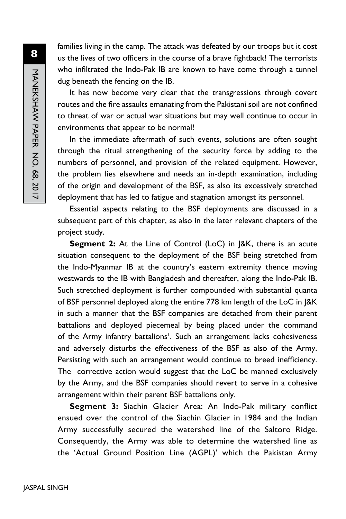families living in the camp. The attack was defeated by our troops but it cost us the lives of two officers in the course of a brave fightback! The terrorists who infiltrated the Indo-Pak IB are known to have come through a tunnel dug beneath the fencing on the IB.

It has now become very clear that the transgressions through covert routes and the fire assaults emanating from the Pakistani soil are not confined to threat of war or actual war situations but may well continue to occur in environments that appear to be normal!

In the immediate aftermath of such events, solutions are often sought through the ritual strengthening of the security force by adding to the numbers of personnel, and provision of the related equipment. However, the problem lies elsewhere and needs an in-depth examination, including of the origin and development of the BSF, as also its excessively stretched deployment that has led to fatigue and stagnation amongst its personnel.

Essential aspects relating to the BSF deployments are discussed in a subsequent part of this chapter, as also in the later relevant chapters of the project study.

**Segment 2:** At the Line of Control (LoC) in J&K, there is an acute situation consequent to the deployment of the BSF being stretched from the Indo-Myanmar IB at the country's eastern extremity thence moving westwards to the IB with Bangladesh and thereafter, along the Indo-Pak IB. Such stretched deployment is further compounded with substantial quanta of BSF personnel deployed along the entire 778 km length of the LoC in J&K in such a manner that the BSF companies are detached from their parent battalions and deployed piecemeal by being placed under the command of the Army infantry battalions<sup>1</sup>. Such an arrangement lacks cohesiveness and adversely disturbs the effectiveness of the BSF as also of the Army. Persisting with such an arrangement would continue to breed inefficiency. The corrective action would suggest that the LoC be manned exclusively by the Army, and the BSF companies should revert to serve in a cohesive arrangement within their parent BSF battalions only.

**Segment 3:** Siachin Glacier Area: An Indo-Pak military conflict ensued over the control of the Siachin Glacier in 1984 and the Indian Army successfully secured the watershed line of the Saltoro Ridge. Consequently, the Army was able to determine the watershed line as the 'Actual Ground Position Line (AGPL)' which the Pakistan Army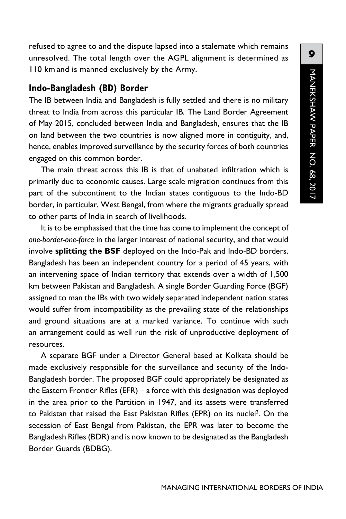refused to agree to and the dispute lapsed into a stalemate which remains unresolved. The total length over the AGPL alignment is determined as 110 km and is manned exclusively by the Army.

#### **Indo-Bangladesh (BD) Border**

The IB between India and Bangladesh is fully settled and there is no military threat to India from across this particular IB. The Land Border Agreement of May 2015, concluded between India and Bangladesh, ensures that the IB on land between the two countries is now aligned more in contiguity, and, hence, enables improved surveillance by the security forces of both countries engaged on this common border.

The main threat across this IB is that of unabated infiltration which is primarily due to economic causes. Large scale migration continues from this part of the subcontinent to the Indian states contiguous to the Indo-BD border, in particular, West Bengal, from where the migrants gradually spread to other parts of India in search of livelihoods.

It is to be emphasised that the time has come to implement the concept of *one-border-one-force* in the larger interest of national security, and that would involve **splitting the BSF** deployed on the Indo-Pak and Indo-BD borders. Bangladesh has been an independent country for a period of 45 years, with an intervening space of Indian territory that extends over a width of 1,500 km between Pakistan and Bangladesh. A single Border Guarding Force (BGF) assigned to man the IBs with two widely separated independent nation states would suffer from incompatibility as the prevailing state of the relationships and ground situations are at a marked variance. To continue with such an arrangement could as well run the risk of unproductive deployment of resources.

A separate BGF under a Director General based at Kolkata should be made exclusively responsible for the surveillance and security of the Indo-Bangladesh border. The proposed BGF could appropriately be designated as the Eastern Frontier Rifles (EFR) – a force with this designation was deployed in the area prior to the Partition in 1947, and its assets were transferred to Pakistan that raised the East Pakistan Rifles (EPR) on its nuclei<sup>2</sup>. On the secession of East Bengal from Pakistan, the EPR was later to become the Bangladesh Rifles (BDR) and is now known to be designated as the Bangladesh Border Guards (BDBG).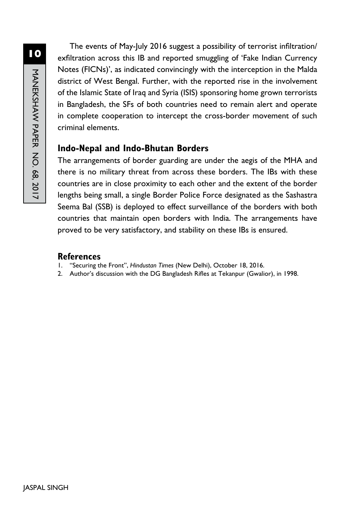The events of May-July 2016 suggest a possibility of terrorist infiltration/ exfiltration across this IB and reported smuggling of 'Fake Indian Currency Notes (FICNs)', as indicated convincingly with the interception in the Malda district of West Bengal. Further, with the reported rise in the involvement of the Islamic State of Iraq and Syria (ISIS) sponsoring home grown terrorists in Bangladesh, the SFs of both countries need to remain alert and operate in complete cooperation to intercept the cross-border movement of such criminal elements.

### **Indo-Nepal and Indo-Bhutan Borders**

The arrangements of border guarding are under the aegis of the MHA and there is no military threat from across these borders. The IBs with these countries are in close proximity to each other and the extent of the border lengths being small, a single Border Police Force designated as the Sashastra Seema Bal (SSB) is deployed to effect surveillance of the borders with both countries that maintain open borders with India. The arrangements have proved to be very satisfactory, and stability on these IBs is ensured.

### **References**

- 1. "Securing the Front", *Hindustan Times* (New Delhi), October 18, 2016.
- 2. Author's discussion with the DG Bangladesh Rifles at Tekanpur (Gwalior), in 1998.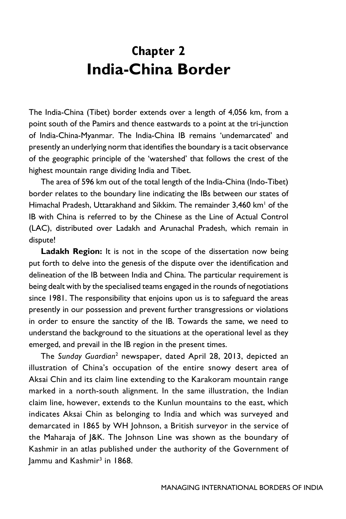## **Chapter 2 India-China Border**

The India-China (Tibet) border extends over a length of 4,056 km, from a point south of the Pamirs and thence eastwards to a point at the tri-junction of India-China-Myanmar. The India-China IB remains 'undemarcated' and presently an underlying norm that identifies the boundary is a tacit observance of the geographic principle of the 'watershed' that follows the crest of the highest mountain range dividing India and Tibet.

The area of 596 km out of the total length of the India-China (Indo-Tibet) border relates to the boundary line indicating the IBs between our states of Himachal Pradesh, Uttarakhand and Sikkim. The remainder 3,460 km<sup>1</sup> of the IB with China is referred to by the Chinese as the Line of Actual Control (LAC), distributed over Ladakh and Arunachal Pradesh, which remain in dispute!

Ladakh Region: It is not in the scope of the dissertation now being put forth to delve into the genesis of the dispute over the identification and delineation of the IB between India and China. The particular requirement is being dealt with by the specialised teams engaged in the rounds of negotiations since 1981. The responsibility that enjoins upon us is to safeguard the areas presently in our possession and prevent further transgressions or violations in order to ensure the sanctity of the IB. Towards the same, we need to understand the background to the situations at the operational level as they emerged, and prevail in the IB region in the present times.

The *Sunday Guardian*<sup>2</sup> newspaper, dated April 28, 2013, depicted an illustration of China's occupation of the entire snowy desert area of Aksai Chin and its claim line extending to the Karakoram mountain range marked in a north-south alignment. In the same illustration, the Indian claim line, however, extends to the Kunlun mountains to the east, which indicates Aksai Chin as belonging to India and which was surveyed and demarcated in 1865 by WH Johnson, a British surveyor in the service of the Maharaja of J&K. The Johnson Line was shown as the boundary of Kashmir in an atlas published under the authority of the Government of Jammu and Kashmir<sup>3</sup> in 1868.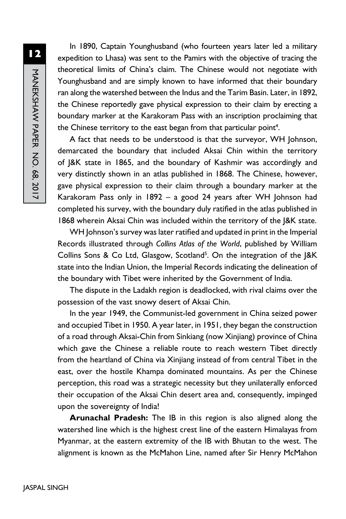**12**MANEKSHAW PAPER NO. 68, 2017 MANEKSHAW PAPER No. 68, 2017

In 1890, Captain Younghusband (who fourteen years later led a military expedition to Lhasa) was sent to the Pamirs with the objective of tracing the theoretical limits of China's claim. The Chinese would not negotiate with Younghusband and are simply known to have informed that their boundary ran along the watershed between the Indus and the Tarim Basin. Later, in 1892, the Chinese reportedly gave physical expression to their claim by erecting a boundary marker at the Karakoram Pass with an inscription proclaiming that the Chinese territory to the east began from that particular point<sup>4</sup>.

A fact that needs to be understood is that the surveyor, WH Johnson, demarcated the boundary that included Aksai Chin within the territory of J&K state in 1865, and the boundary of Kashmir was accordingly and very distinctly shown in an atlas published in 1868. The Chinese, however, gave physical expression to their claim through a boundary marker at the Karakoram Pass only in 1892 – a good 24 years after WH Johnson had completed his survey, with the boundary duly ratified in the atlas published in 1868 wherein Aksai Chin was included within the territory of the J&K state.

WH Johnson's survey was later ratified and updated in print in the Imperial Records illustrated through *Collins Atlas of the World*, published by William Collins Sons & Co Ltd, Glasgow, Scotland<sup>5</sup>. On the integration of the J&K state into the Indian Union, the Imperial Records indicating the delineation of the boundary with Tibet were inherited by the Government of India.

The dispute in the Ladakh region is deadlocked, with rival claims over the possession of the vast snowy desert of Aksai Chin.

In the year 1949, the Communist-led government in China seized power and occupied Tibet in 1950. A year later, in 1951, they began the construction of a road through Aksai-Chin from Sinkiang (now Xinjiang) province of China which gave the Chinese a reliable route to reach western Tibet directly from the heartland of China via Xinjiang instead of from central Tibet in the east, over the hostile Khampa dominated mountains. As per the Chinese perception, this road was a strategic necessity but they unilaterally enforced their occupation of the Aksai Chin desert area and, consequently, impinged upon the sovereignty of India!

**Arunachal Pradesh:** The IB in this region is also aligned along the watershed line which is the highest crest line of the eastern Himalayas from Myanmar, at the eastern extremity of the IB with Bhutan to the west. The alignment is known as the McMahon Line, named after Sir Henry McMahon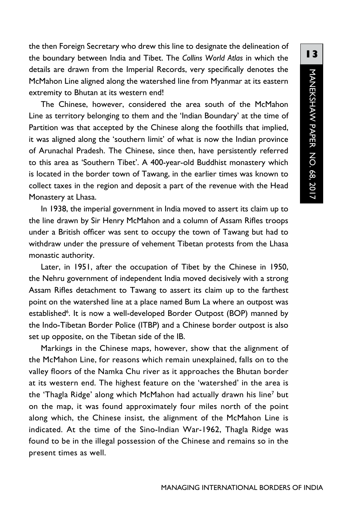the then Foreign Secretary who drew this line to designate the delineation of the boundary between India and Tibet. The *Collins World Atlas* in which the details are drawn from the Imperial Records, very specifically denotes the McMahon Line aligned along the watershed line from Myanmar at its eastern extremity to Bhutan at its western end!

The Chinese, however, considered the area south of the McMahon Line as territory belonging to them and the 'Indian Boundary' at the time of Partition was that accepted by the Chinese along the foothills that implied, it was aligned along the 'southern limit' of what is now the Indian province of Arunachal Pradesh. The Chinese, since then, have persistently referred to this area as 'Southern Tibet'. A 400-year-old Buddhist monastery which is located in the border town of Tawang, in the earlier times was known to collect taxes in the region and deposit a part of the revenue with the Head Monastery at Lhasa.

In 1938, the imperial government in India moved to assert its claim up to the line drawn by Sir Henry McMahon and a column of Assam Rifles troops under a British officer was sent to occupy the town of Tawang but had to withdraw under the pressure of vehement Tibetan protests from the Lhasa monastic authority.

Later, in 1951, after the occupation of Tibet by the Chinese in 1950, the Nehru government of independent India moved decisively with a strong Assam Rifles detachment to Tawang to assert its claim up to the farthest point on the watershed line at a place named Bum La where an outpost was established<sup>6</sup>. It is now a well-developed Border Outpost (BOP) manned by the Indo-Tibetan Border Police (ITBP) and a Chinese border outpost is also set up opposite, on the Tibetan side of the IB.

Markings in the Chinese maps, however, show that the alignment of the McMahon Line, for reasons which remain unexplained, falls on to the valley floors of the Namka Chu river as it approaches the Bhutan border at its western end. The highest feature on the 'watershed' in the area is the 'Thagla Ridge' along which McMahon had actually drawn his line7 but on the map, it was found approximately four miles north of the point along which, the Chinese insist, the alignment of the McMahon Line is indicated. At the time of the Sino-Indian War-1962, Thagla Ridge was found to be in the illegal possession of the Chinese and remains so in the present times as well.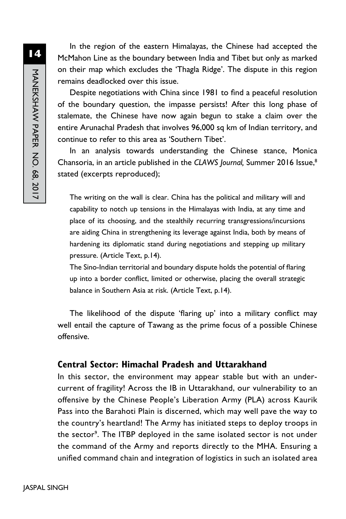In the region of the eastern Himalayas, the Chinese had accepted the McMahon Line as the boundary between India and Tibet but only as marked on their map which excludes the 'Thagla Ridge'. The dispute in this region remains deadlocked over this issue.

Despite negotiations with China since 1981 to find a peaceful resolution of the boundary question, the impasse persists! After this long phase of stalemate, the Chinese have now again begun to stake a claim over the entire Arunachal Pradesh that involves 96,000 sq km of Indian territory, and continue to refer to this area as 'Southern Tibet'.

In an analysis towards understanding the Chinese stance, Monica Chansoria, in an article published in the *CLAWS Journal,* Summer 2016 Issue,8 stated (excerpts reproduced);

The writing on the wall is clear. China has the political and military will and capability to notch up tensions in the Himalayas with India, at any time and place of its choosing, and the stealthily recurring transgressions/incursions are aiding China in strengthening its leverage against India, both by means of hardening its diplomatic stand during negotiations and stepping up military pressure. (Article Text, p.14).

The Sino-Indian territorial and boundary dispute holds the potential of flaring up into a border conflict, limited or otherwise, placing the overall strategic balance in Southern Asia at risk. (Article Text, p.14).

The likelihood of the dispute 'flaring up' into a military conflict may well entail the capture of Tawang as the prime focus of a possible Chinese offensive.

#### **Central Sector: Himachal Pradesh and Uttarakhand**

In this sector, the environment may appear stable but with an undercurrent of fragility! Across the IB in Uttarakhand, our vulnerability to an offensive by the Chinese People's Liberation Army (PLA) across Kaurik Pass into the Barahoti Plain is discerned, which may well pave the way to the country's heartland! The Army has initiated steps to deploy troops in the sector<sup>9</sup>. The ITBP deployed in the same isolated sector is not under the command of the Army and reports directly to the MHA. Ensuring a unified command chain and integration of logistics in such an isolated area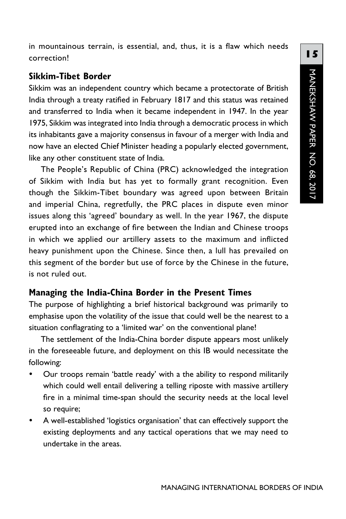in mountainous terrain, is essential, and, thus, it is a flaw which needs correction!

### **Sikkim-Tibet Border**

Sikkim was an independent country which became a protectorate of British India through a treaty ratified in February 1817 and this status was retained and transferred to India when it became independent in 1947. In the year 1975, Sikkim was integrated into India through a democratic process in which its inhabitants gave a majority consensus in favour of a merger with India and now have an elected Chief Minister heading a popularly elected government, like any other constituent state of India.

The People's Republic of China (PRC) acknowledged the integration of Sikkim with India but has yet to formally grant recognition. Even though the Sikkim-Tibet boundary was agreed upon between Britain and imperial China, regretfully, the PRC places in dispute even minor issues along this 'agreed' boundary as well. In the year 1967, the dispute erupted into an exchange of fire between the Indian and Chinese troops in which we applied our artillery assets to the maximum and inflicted heavy punishment upon the Chinese. Since then, a lull has prevailed on this segment of the border but use of force by the Chinese in the future, is not ruled out.

## **Managing the India-China Border in the Present Times**

The purpose of highlighting a brief historical background was primarily to emphasise upon the volatility of the issue that could well be the nearest to a situation conflagrating to a 'limited war' on the conventional plane!

The settlement of the India-China border dispute appears most unlikely in the foreseeable future, and deployment on this IB would necessitate the following:

- Our troops remain 'battle ready' with a the ability to respond militarily which could well entail delivering a telling riposte with massive artillery fire in a minimal time-span should the security needs at the local level so require;
- A well-established 'logistics organisation' that can effectively support the existing deployments and any tactical operations that we may need to undertake in the areas.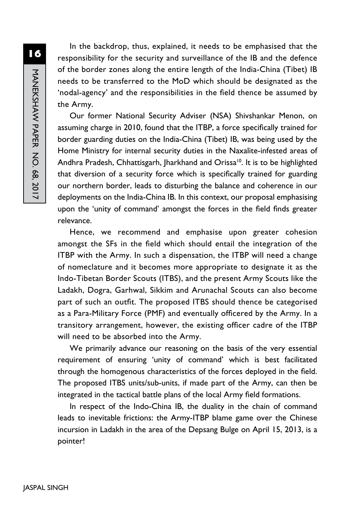In the backdrop, thus, explained, it needs to be emphasised that the responsibility for the security and surveillance of the IB and the defence of the border zones along the entire length of the India-China (Tibet) IB needs to be transferred to the MoD which should be designated as the 'nodal-agency' and the responsibilities in the field thence be assumed by the Army.

Our former National Security Adviser (NSA) Shivshankar Menon, on assuming charge in 2010, found that the ITBP, a force specifically trained for border guarding duties on the India-China (Tibet) IB, was being used by the Home Ministry for internal security duties in the Naxalite-infested areas of Andhra Pradesh, Chhattisgarh, Jharkhand and Orissa<sup>10</sup>. It is to be highlighted that diversion of a security force which is specifically trained for guarding our northern border, leads to disturbing the balance and coherence in our deployments on the India-China IB. In this context, our proposal emphasising upon the 'unity of command' amongst the forces in the field finds greater relevance.

Hence, we recommend and emphasise upon greater cohesion amongst the SFs in the field which should entail the integration of the ITBP with the Army. In such a dispensation, the ITBP will need a change of nomeclature and it becomes more appropriate to designate it as the Indo-Tibetan Border Scouts (ITBS), and the present Army Scouts like the Ladakh, Dogra, Garhwal, Sikkim and Arunachal Scouts can also become part of such an outfit. The proposed ITBS should thence be categorised as a Para-Military Force (PMF) and eventually officered by the Army. In a transitory arrangement, however, the existing officer cadre of the ITBP will need to be absorbed into the Army.

We primarily advance our reasoning on the basis of the very essential requirement of ensuring 'unity of command' which is best facilitated through the homogenous characteristics of the forces deployed in the field. The proposed ITBS units/sub-units, if made part of the Army, can then be integrated in the tactical battle plans of the local Army field formations.

In respect of the Indo-China IB, the duality in the chain of command leads to inevitable frictions: the Army-ITBP blame game over the Chinese incursion in Ladakh in the area of the Depsang Bulge on April 15, 2013, is a pointer!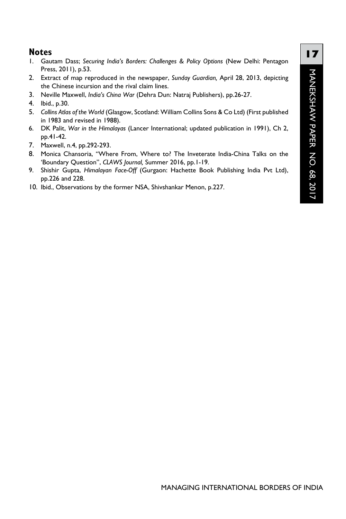#### **Notes**

- 1. Gautam Dass; *Securing India's Borders: Challenges & Policy Options* (New Delhi: Pentagon Press, 2011), p.53.
- 2. Extract of map reproduced in the newspaper, *Sunday Guardian,* April 28, 2013, depicting the Chinese incursion and the rival claim lines.
- 3. Neville Maxwell, *India's China War* (Dehra Dun: Natraj Publishers), pp.26-27.
- 4. Ibid., p.30.
- 5. *Collins Atlas of the World* (Glasgow, Scotland: William Collins Sons & Co Ltd) (First published in 1983 and revised in 1988).
- 6. DK Palit, *War in the Himalayas* (Lancer International; updated publication in 1991), Ch 2, pp.41-42.
- 7. Maxwell, n.4, pp.292-293.
- 8. Monica Chansoria, "Where From, Where to? The Inveterate India-China Talks on the 'Boundary Question", *CLAWS Journal,* Summer 2016, pp.1-19.
- 9. Shishir Gupta, *Himalayan Face-Off* (Gurgaon: Hachette Book Publishing India Pvt Ltd), pp.226 and 228.
- 10. Ibid., Observations by the former NSA, Shivshankar Menon, p.227.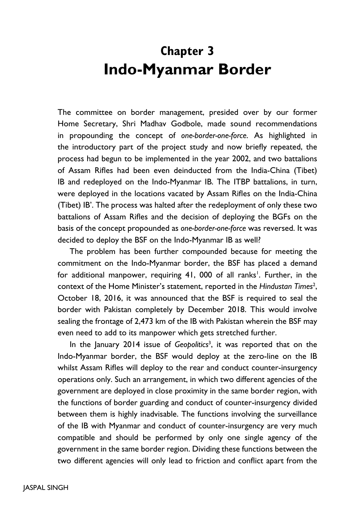## **Chapter 3 Indo-Myanmar Border**

The committee on border management, presided over by our former Home Secretary, Shri Madhav Godbole, made sound recommendations in propounding the concept of *one-border-one-force*. As highlighted in the introductory part of the project study and now briefly repeated, the process had begun to be implemented in the year 2002, and two battalions of Assam Rifles had been even deinducted from the India-China (Tibet) IB and redeployed on the Indo-Myanmar IB. The ITBP battalions, in turn, were deployed in the locations vacated by Assam Rifles on the India-China (Tibet) IB'. The process was halted after the redeployment of only these two battalions of Assam Rifles and the decision of deploying the BGFs on the basis of the concept propounded as *one-border-one-force* was reversed. It was decided to deploy the BSF on the Indo-Myanmar IB as well?

The problem has been further compounded because for meeting the commitment on the Indo-Myanmar border, the BSF has placed a demand for additional manpower, requiring 41, 000 of all ranks<sup>1</sup>. Further, in the context of the Home Minister's statement, reported in the Hindustan Times<sup>2</sup>, October 18, 2016, it was announced that the BSF is required to seal the border with Pakistan completely by December 2018. This would involve sealing the frontage of 2,473 km of the IB with Pakistan wherein the BSF may even need to add to its manpower which gets stretched further.

In the January 2014 issue of *Geopolitics*<sup>3</sup> , it was reported that on the Indo-Myanmar border, the BSF would deploy at the zero-line on the IB whilst Assam Rifles will deploy to the rear and conduct counter-insurgency operations only. Such an arrangement, in which two different agencies of the government are deployed in close proximity in the same border region, with the functions of border guarding and conduct of counter-insurgency divided between them is highly inadvisable. The functions involving the surveillance of the IB with Myanmar and conduct of counter-insurgency are very much compatible and should be performed by only one single agency of the government in the same border region. Dividing these functions between the two different agencies will only lead to friction and conflict apart from the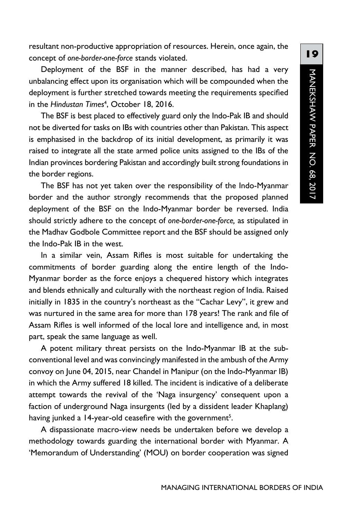resultant non-productive appropriation of resources. Herein, once again, the concept of *one-border-one-force* stands violated.

Deployment of the BSF in the manner described, has had a very unbalancing effect upon its organisation which will be compounded when the deployment is further stretched towards meeting the requirements specified in the *Hindustan Times*<sup>4</sup> , October 18, 2016.

The BSF is best placed to effectively guard only the Indo-Pak IB and should not be diverted for tasks on IBs with countries other than Pakistan. This aspect is emphasised in the backdrop of its initial development, as primarily it was raised to integrate all the state armed police units assigned to the IBs of the Indian provinces bordering Pakistan and accordingly built strong foundations in the border regions.

The BSF has not yet taken over the responsibility of the Indo-Myanmar border and the author strongly recommends that the proposed planned deployment of the BSF on the Indo-Myanmar border be reversed. India should strictly adhere to the concept of *one-border-one-force,* as stipulated in the Madhav Godbole Committee report and the BSF should be assigned only the Indo-Pak IB in the west.

In a similar vein, Assam Rifles is most suitable for undertaking the commitments of border guarding along the entire length of the Indo-Myanmar border as the force enjoys a chequered history which integrates and blends ethnically and culturally with the northeast region of India. Raised initially in 1835 in the country's northeast as the "Cachar Levy", it grew and was nurtured in the same area for more than 178 years! The rank and file of Assam Rifles is well informed of the local lore and intelligence and, in most part, speak the same language as well.

A potent military threat persists on the Indo-Myanmar IB at the subconventional level and was convincingly manifested in the ambush of the Army convoy on June 04, 2015, near Chandel in Manipur (on the Indo-Myanmar IB) in which the Army suffered 18 killed. The incident is indicative of a deliberate attempt towards the revival of the 'Naga insurgency' consequent upon a faction of underground Naga insurgents (led by a dissident leader Khaplang) having junked a 14-year-old ceasefire with the government<sup>5</sup>.

A dispassionate macro-view needs be undertaken before we develop a methodology towards guarding the international border with Myanmar. A 'Memorandum of Understanding' (MOU) on border cooperation was signed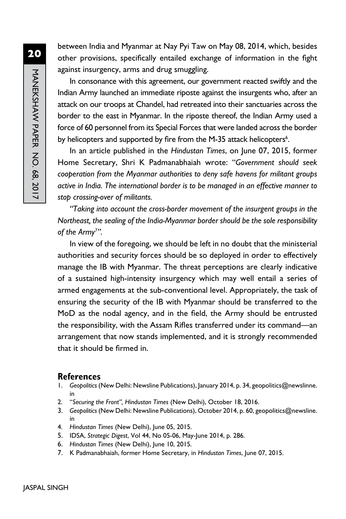between India and Myanmar at Nay Pyi Taw on May 08, 2014, which, besides other provisions, specifically entailed exchange of information in the fight against insurgency, arms and drug smuggling.

In consonance with this agreement, our government reacted swiftly and the Indian Army launched an immediate riposte against the insurgents who, after an attack on our troops at Chandel, had retreated into their sanctuaries across the border to the east in Myanmar. In the riposte thereof, the Indian Army used a force of 60 personnel from its Special Forces that were landed across the border by helicopters and supported by fire from the M-35 attack helicopters<sup>6</sup>.

In an article published in the *Hindustan Times*, on June 07, 2015, former Home Secretary, Shri K Padmanabhaiah wrote: "*Government should seek cooperation from the Myanmar authorities to deny safe havens for militant groups active in India. The international border is to be managed in an effective manner to stop crossing-over of militants.*

*"Taking into account the cross-border movement of the insurgent groups in the Northeast, the sealing of the India-Myanmar border should be the sole responsibility of the Army7 ".*

In view of the foregoing, we should be left in no doubt that the ministerial authorities and security forces should be so deployed in order to effectively manage the IB with Myanmar. The threat perceptions are clearly indicative of a sustained high-intensity insurgency which may well entail a series of armed engagements at the sub-conventional level. Appropriately, the task of ensuring the security of the IB with Myanmar should be transferred to the MoD as the nodal agency, and in the field, the Army should be entrusted the responsibility, with the Assam Rifles transferred under its command—an arrangement that now stands implemented, and it is strongly recommended that it should be firmed in.

#### **References**

- 1. *Geopolitics* (New Delhi: Newsline Publications), January 2014, p. 34, geopolitics@newslinne. in
- 2. "*Securing the Front", Hindustan Times* (New Delhi), October 18, 2016.
- 3. *Geopolitics* (New Delhi: Newsline Publications), October 2014, p. 60, geopolitics@newsline. in
- 4. *Hindustan Times* (New Delhi), June 05, 2015.
- 5. IDSA, *Strategic Digest*, Vol 44, No 05-06, May-June 2014, p. 286.
- 6. *Hindustan Times* (New Delhi), June 10, 2015.
- 7. K Padmanabhaiah, former Home Secretary, in *Hindustan Times*, June 07, 2015.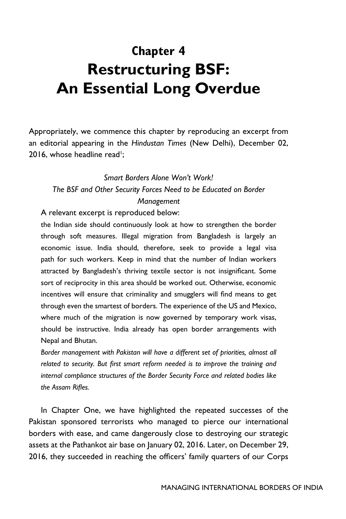# **Chapter 4 Restructuring BSF: An Essential Long Overdue**

Appropriately, we commence this chapter by reproducing an excerpt from an editorial appearing in the *Hindustan Times* (New Delhi), December 02, 2016, whose headline read<sup>1</sup>;

### *Smart Borders Alone Won't Work! The BSF and Other Security Forces Need to be Educated on Border Management*

A relevant excerpt is reproduced below:

the Indian side should continuously look at how to strengthen the border through soft measures. Illegal migration from Bangladesh is largely an economic issue. India should, therefore, seek to provide a legal visa path for such workers. Keep in mind that the number of Indian workers attracted by Bangladesh's thriving textile sector is not insignificant. Some sort of reciprocity in this area should be worked out. Otherwise, economic incentives will ensure that criminality and smugglers will find means to get through even the smartest of borders. The experience of the US and Mexico, where much of the migration is now governed by temporary work visas, should be instructive. India already has open border arrangements with Nepal and Bhutan.

Border management with Pakistan will have a different set of priorities, almost all *related to security. But first smart reform needed is to improve the training and internal compliance structures of the Border Security Force and related bodies like the Assam Rifles.*

In Chapter One, we have highlighted the repeated successes of the Pakistan sponsored terrorists who managed to pierce our international borders with ease, and came dangerously close to destroying our strategic assets at the Pathankot air base on January 02, 2016. Later, on December 29, 2016, they succeeded in reaching the officers' family quarters of our Corps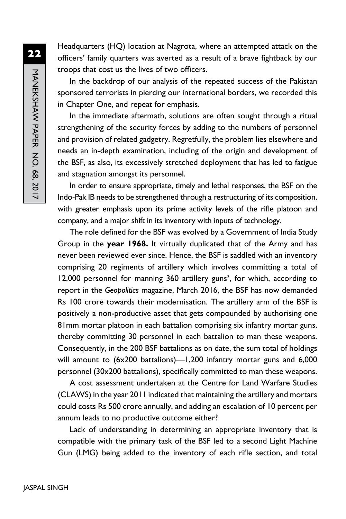Headquarters (HQ) location at Nagrota, where an attempted attack on the officers' family quarters was averted as a result of a brave fightback by our troops that cost us the lives of two officers.

In the backdrop of our analysis of the repeated success of the Pakistan sponsored terrorists in piercing our international borders, we recorded this in Chapter One, and repeat for emphasis.

In the immediate aftermath, solutions are often sought through a ritual strengthening of the security forces by adding to the numbers of personnel and provision of related gadgetry. Regretfully, the problem lies elsewhere and needs an in-depth examination, including of the origin and development of the BSF, as also, its excessively stretched deployment that has led to fatigue and stagnation amongst its personnel.

In order to ensure appropriate, timely and lethal responses, the BSF on the Indo-Pak IB needs to be strengthened through a restructuring of its composition, with greater emphasis upon its prime activity levels of the rifle platoon and company, and a major shift in its inventory with inputs of technology.

The role defined for the BSF was evolved by a Government of India Study Group in the **year 1968.** It virtually duplicated that of the Army and has never been reviewed ever since. Hence, the BSF is saddled with an inventory comprising 20 regiments of artillery which involves committing a total of 12,000 personnel for manning 360 artillery guns<sup>2</sup>, for which, according to report in the *Geopolitics* magazine, March 2016, the BSF has now demanded Rs 100 crore towards their modernisation. The artillery arm of the BSF is positively a non-productive asset that gets compounded by authorising one 81mm mortar platoon in each battalion comprising six infantry mortar guns, thereby committing 30 personnel in each battalion to man these weapons. Consequently, in the 200 BSF battalions as on date, the sum total of holdings will amount to (6x200 battalions)—1,200 infantry mortar guns and 6,000 personnel (30x200 battalions), specifically committed to man these weapons.

A cost assessment undertaken at the Centre for Land Warfare Studies (CLAWS) in the year 2011 indicated that maintaining the artillery and mortars could costs Rs 500 crore annually, and adding an escalation of 10 percent per annum leads to no productive outcome either?

Lack of understanding in determining an appropriate inventory that is compatible with the primary task of the BSF led to a second Light Machine Gun (LMG) being added to the inventory of each rifle section, and total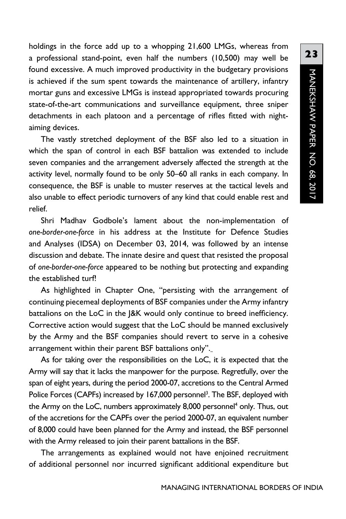holdings in the force add up to a whopping 21,600 LMGs, whereas from a professional stand-point, even half the numbers (10,500) may well be found excessive. A much improved productivity in the budgetary provisions is achieved if the sum spent towards the maintenance of artillery, infantry mortar guns and excessive LMGs is instead appropriated towards procuring state-of-the-art communications and surveillance equipment, three sniper detachments in each platoon and a percentage of rifles fitted with nightaiming devices.

The vastly stretched deployment of the BSF also led to a situation in which the span of control in each BSF battalion was extended to include seven companies and the arrangement adversely affected the strength at the activity level, normally found to be only 50–60 all ranks in each company. In consequence, the BSF is unable to muster reserves at the tactical levels and also unable to effect periodic turnovers of any kind that could enable rest and relief.

Shri Madhav Godbole's lament about the non-implementation of *one-border-one-force* in his address at the Institute for Defence Studies and Analyses (IDSA) on December 03, 2014, was followed by an intense discussion and debate. The innate desire and quest that resisted the proposal of *one-border-one-force* appeared to be nothing but protecting and expanding the established turf!

As highlighted in Chapter One, "persisting with the arrangement of continuing piecemeal deployments of BSF companies under the Army infantry battalions on the LoC in the J&K would only continue to breed inefficiency. Corrective action would suggest that the LoC should be manned exclusively by the Army and the BSF companies should revert to serve in a cohesive arrangement within their parent BSF battalions only".

As for taking over the responsibilities on the LoC, it is expected that the Army will say that it lacks the manpower for the purpose. Regretfully, over the span of eight years, during the period 2000-07, accretions to the Central Armed Police Forces (CAPFs) increased by 167,000 personnel<sup>3</sup>. The BSF, deployed with the Army on the LoC, numbers approximately 8,000 personnel<sup>4</sup> only. Thus, out of the accretions for the CAPFs over the period 2000-07, an equivalent number of 8,000 could have been planned for the Army and instead, the BSF personnel with the Army released to join their parent battalions in the BSF.

The arrangements as explained would not have enjoined recruitment of additional personnel nor incurred significant additional expenditure but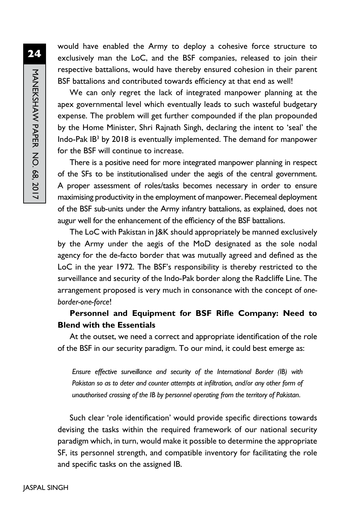MANEKSHAW PAPER NO. 68, 2017 MANEKSHAW PAPER No. 68, 2017

**24**

would have enabled the Army to deploy a cohesive force structure to exclusively man the LoC, and the BSF companies, released to join their respective battalions, would have thereby ensured cohesion in their parent BSF battalions and contributed towards efficiency at that end as well!

We can only regret the lack of integrated manpower planning at the apex governmental level which eventually leads to such wasteful budgetary expense. The problem will get further compounded if the plan propounded by the Home Minister, Shri Rajnath Singh, declaring the intent to 'seal' the Indo-Pak IB<sup>3</sup> by 2018 is eventually implemented. The demand for manpower for the BSF will continue to increase.

There is a positive need for more integrated manpower planning in respect of the SFs to be institutionalised under the aegis of the central government. A proper assessment of roles/tasks becomes necessary in order to ensure maximising productivity in the employment of manpower. Piecemeal deployment of the BSF sub-units under the Army infantry battalions, as explained, does not augur well for the enhancement of the efficiency of the BSF battalions.

The LoC with Pakistan in J&K should appropriately be manned exclusively by the Army under the aegis of the MoD designated as the sole nodal agency for the de-facto border that was mutually agreed and defined as the LoC in the year 1972. The BSF's responsibility is thereby restricted to the surveillance and security of the Indo-Pak border along the Radcliffe Line. The arrangement proposed is very much in consonance with the concept of *oneborder-one-force*!

#### **Personnel and Equipment for BSF Rifle Company: Need to Blend with the Essentials**

At the outset, we need a correct and appropriate identification of the role of the BSF in our security paradigm. To our mind, it could best emerge as:

*Ensure effective surveillance and security of the International Border (IB) with*  Pakistan so as to deter and counter attempts at infiltration, and/or any other form of *unauthorised crossing of the IB by personnel operating from the territory of Pakistan*.

Such clear 'role identification' would provide specific directions towards devising the tasks within the required framework of our national security paradigm which, in turn, would make it possible to determine the appropriate SF, its personnel strength, and compatible inventory for facilitating the role and specific tasks on the assigned IB.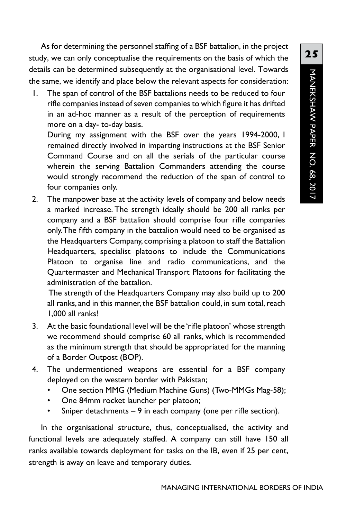As for determining the personnel staffing of a BSF battalion, in the project study, we can only conceptualise the requirements on the basis of which the details can be determined subsequently at the organisational level. Towards the same, we identify and place below the relevant aspects for consideration:

1. The span of control of the BSF battalions needs to be reduced to four rifle companies instead of seven companies to which figure it has drifted in an ad-hoc manner as a result of the perception of requirements more on a day- to-day basis.

During my assignment with the BSF over the years 1994-2000, I remained directly involved in imparting instructions at the BSF Senior Command Course and on all the serials of the particular course wherein the serving Battalion Commanders attending the course would strongly recommend the reduction of the span of control to four companies only.

2. The manpower base at the activity levels of company and below needs a marked increase. The strength ideally should be 200 all ranks per company and a BSF battalion should comprise four rifle companies only. The fifth company in the battalion would need to be organised as the Headquarters Company, comprising a platoon to staff the Battalion Headquarters, specialist platoons to include the Communications Platoon to organise line and radio communications, and the Quartermaster and Mechanical Transport Platoons for facilitating the administration of the battalion.

 The strength of the Headquarters Company may also build up to 200 all ranks, and in this manner, the BSF battalion could, in sum total, reach 1,000 all ranks!

- 3. At the basic foundational level will be the 'rifle platoon' whose strength we recommend should comprise 60 all ranks, which is recommended as the minimum strength that should be appropriated for the manning of a Border Outpost (BOP).
- 4. The undermentioned weapons are essential for a BSF company deployed on the western border with Pakistan;
	- One section MMG (Medium Machine Guns) (Two-MMGs Mag-58);
	- One 84mm rocket launcher per platoon;
	- Sniper detachments  $-9$  in each company (one per rifle section).

In the organisational structure, thus, conceptualised, the activity and functional levels are adequately staffed. A company can still have 150 all ranks available towards deployment for tasks on the IB, even if 25 per cent, strength is away on leave and temporary duties.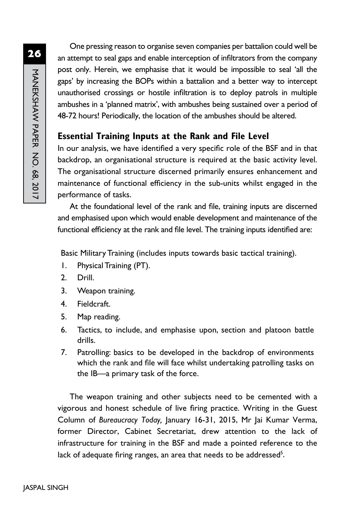One pressing reason to organise seven companies per battalion could well be an attempt to seal gaps and enable interception of infiltrators from the company post only. Herein, we emphasise that it would be impossible to seal 'all the gaps' by increasing the BOPs within a battalion and a better way to intercept unauthorised crossings or hostile infiltration is to deploy patrols in multiple ambushes in a 'planned matrix', with ambushes being sustained over a period of 48-72 hours! Periodically, the location of the ambushes should be altered.

## **Essential Training Inputs at the Rank and File Level**

In our analysis, we have identified a very specific role of the BSF and in that backdrop, an organisational structure is required at the basic activity level. The organisational structure discerned primarily ensures enhancement and maintenance of functional efficiency in the sub-units whilst engaged in the performance of tasks.

At the foundational level of the rank and file, training inputs are discerned and emphasised upon which would enable development and maintenance of the functional efficiency at the rank and file level. The training inputs identified are:

Basic Military Training (includes inputs towards basic tactical training).

- 1. Physical Training (PT).
- 2. Drill.
- 3. Weapon training.
- 4. Fieldcraft.
- 5. Map reading.
- 6. Tactics, to include, and emphasise upon, section and platoon battle drills.
- 7. Patrolling: basics to be developed in the backdrop of environments which the rank and file will face whilst undertaking patrolling tasks on the IB—a primary task of the force.

The weapon training and other subjects need to be cemented with a vigorous and honest schedule of live firing practice. Writing in the Guest Column of *Bureaucracy Today,* January 16-31, 2015, Mr Jai Kumar Verma, former Director, Cabinet Secretariat, drew attention to the lack of infrastructure for training in the BSF and made a pointed reference to the lack of adequate firing ranges, an area that needs to be addressed<sup>5</sup>.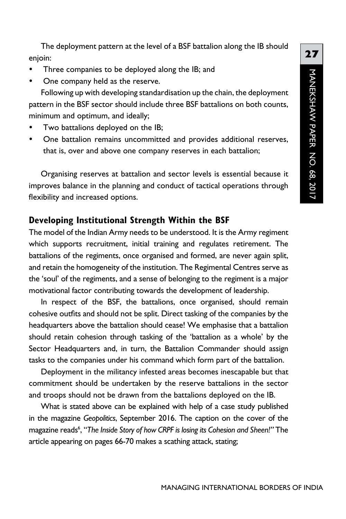The deployment pattern at the level of a BSF battalion along the IB should enjoin:

- Three companies to be deployed along the IB; and
- One company held as the reserve.

Following up with developing standardisation up the chain, the deployment pattern in the BSF sector should include three BSF battalions on both counts, minimum and optimum, and ideally;

- Two battalions deployed on the IB;
- One battalion remains uncommitted and provides additional reserves, that is, over and above one company reserves in each battalion;

Organising reserves at battalion and sector levels is essential because it improves balance in the planning and conduct of tactical operations through flexibility and increased options.

#### **Developing Institutional Strength Within the BSF**

The model of the Indian Army needs to be understood. It is the Army regiment which supports recruitment, initial training and regulates retirement. The battalions of the regiments, once organised and formed, are never again split, and retain the homogeneity of the institution. The Regimental Centres serve as the 'soul' of the regiments, and a sense of belonging to the regiment is a major motivational factor contributing towards the development of leadership.

In respect of the BSF, the battalions, once organised, should remain cohesive outfits and should not be split. Direct tasking of the companies by the headquarters above the battalion should cease! We emphasise that a battalion should retain cohesion through tasking of the 'battalion as a whole' by the Sector Headquarters and, in turn, the Battalion Commander should assign tasks to the companies under his command which form part of the battalion.

Deployment in the militancy infested areas becomes inescapable but that commitment should be undertaken by the reserve battalions in the sector and troops should not be drawn from the battalions deployed on the IB.

What is stated above can be explained with help of a case study published in the magazine *Geopolitics*, September 2016. The caption on the cover of the magazine reads<sup>6</sup>, "The Inside Story of how CRPF is losing its Cohesion and Sheen!" The article appearing on pages 66-70 makes a scathing attack, stating;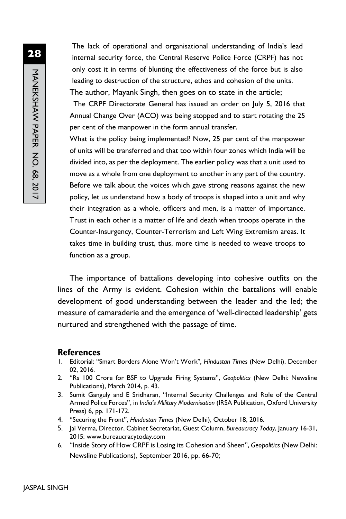The lack of operational and organisational understanding of India's lead internal security force, the Central Reserve Police Force (CRPF) has not only cost it in terms of blunting the effectiveness of the force but is also leading to destruction of the structure, ethos and cohesion of the units. The author, Mayank Singh, then goes on to state in the article;

The CRPF Directorate General has issued an order on July 5, 2016 that Annual Change Over (ACO) was being stopped and to start rotating the 25 per cent of the manpower in the form annual transfer.

What is the policy being implemented? Now, 25 per cent of the manpower of units will be transferred and that too within four zones which India will be divided into, as per the deployment. The earlier policy was that a unit used to move as a whole from one deployment to another in any part of the country. Before we talk about the voices which gave strong reasons against the new policy, let us understand how a body of troops is shaped into a unit and why their integration as a whole, officers and men, is a matter of importance. Trust in each other is a matter of life and death when troops operate in the Counter-Insurgency, Counter-Terrorism and Left Wing Extremism areas. It takes time in building trust, thus, more time is needed to weave troops to function as a group.

The importance of battalions developing into cohesive outfits on the lines of the Army is evident. Cohesion within the battalions will enable development of good understanding between the leader and the led; the measure of camaraderie and the emergence of 'well-directed leadership' gets nurtured and strengthened with the passage of time.

#### **References**

- 1. Editorial: "Smart Borders Alone Won't Work"*, Hindustan Times* (New Delhi), December 02, 2016.
- 2. "Rs 100 Crore for BSF to Upgrade Firing Systems", *Geopolitics* (New Delhi: Newsline Publications), March 2014, p. 43.
- 3. Sumit Ganguly and E Sridharan, "Internal Security Challenges and Role of the Central Armed Police Forces", in *India's Military Modernisation* (IRSA Publication, Oxford University Press) 6, pp. 171-172.
- 4. "Securing the Front", *Hindustan Times* (New Delhi), October 18, 2016.
- 5. Jai Verma, Director, Cabinet Secretariat, Guest Column, *Bureaucracy Today*, January 16-31, 2015: www.bureaucracytoday.com
- 6. "Inside Story of How CRPF is Losing its Cohesion and Sheen", *Geopolitics* (New Delhi: Newsline Publications), September 2016, pp. 66-70;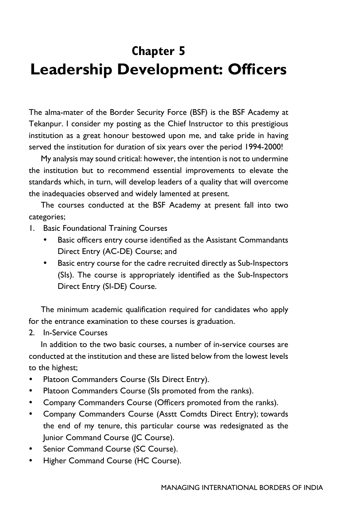# **Chapter 5 Leadership Development: Officers**

The alma-mater of the Border Security Force (BSF) is the BSF Academy at Tekanpur. I consider my posting as the Chief Instructor to this prestigious institution as a great honour bestowed upon me, and take pride in having served the institution for duration of six years over the period 1994-2000!

My analysis may sound critical: however, the intention is not to undermine the institution but to recommend essential improvements to elevate the standards which, in turn, will develop leaders of a quality that will overcome the inadequacies observed and widely lamented at present.

The courses conducted at the BSF Academy at present fall into two categories;

- 1. Basic Foundational Training Courses
	- Basic officers entry course identified as the Assistant Commandants Direct Entry (AC-DE) Course; and
	- Basic entry course for the cadre recruited directly as Sub-Inspectors (SIs). The course is appropriately identified as the Sub-Inspectors Direct Entry (SI-DE) Course.

The minimum academic qualification required for candidates who apply for the entrance examination to these courses is graduation.

2. In-Service Courses

In addition to the two basic courses, a number of in-service courses are conducted at the institution and these are listed below from the lowest levels to the highest;

- Platoon Commanders Course (SIs Direct Entry).
- Platoon Commanders Course (SIs promoted from the ranks).
- Company Commanders Course (Officers promoted from the ranks).
- Company Commanders Course (Asstt Comdts Direct Entry); towards the end of my tenure, this particular course was redesignated as the Junior Command Course (JC Course).
- Senior Command Course (SC Course).
- Higher Command Course (HC Course).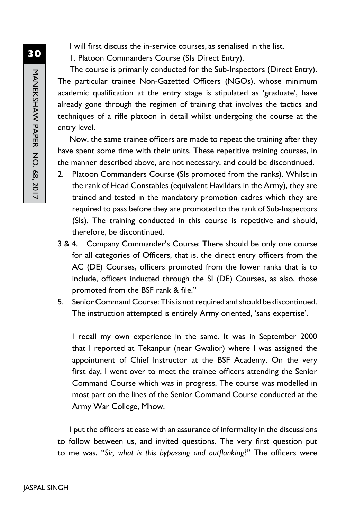I will first discuss the in-service courses, as serialised in the list.

1. Platoon Commanders Course (SIs Direct Entry).

The course is primarily conducted for the Sub-Inspectors (Direct Entry). The particular trainee Non-Gazetted Officers (NGOs), whose minimum academic qualification at the entry stage is stipulated as 'graduate', have already gone through the regimen of training that involves the tactics and techniques of a rifle platoon in detail whilst undergoing the course at the entry level.

Now, the same trainee officers are made to repeat the training after they have spent some time with their units. These repetitive training courses, in the manner described above, are not necessary, and could be discontinued.

- 2. Platoon Commanders Course (SIs promoted from the ranks). Whilst in the rank of Head Constables (equivalent Havildars in the Army), they are trained and tested in the mandatory promotion cadres which they are required to pass before they are promoted to the rank of Sub-Inspectors (SIs). The training conducted in this course is repetitive and should, therefore, be discontinued.
- 3 & 4. Company Commander's Course: There should be only one course for all categories of Officers, that is, the direct entry officers from the AC (DE) Courses, officers promoted from the lower ranks that is to include, officers inducted through the SI (DE) Courses, as also, those promoted from the BSF rank & file."
- 5. Senior Command Course: This is not required and should be discontinued. The instruction attempted is entirely Army oriented, 'sans expertise'.

I recall my own experience in the same. It was in September 2000 that I reported at Tekanpur (near Gwalior) where I was assigned the appointment of Chief Instructor at the BSF Academy. On the very first day, I went over to meet the trainee officers attending the Senior Command Course which was in progress. The course was modelled in most part on the lines of the Senior Command Course conducted at the Army War College, Mhow.

I put the officers at ease with an assurance of informality in the discussions to follow between us, and invited questions. The very first question put to me was, "*Sir, what is this bypassing and outflanking*?" The officers were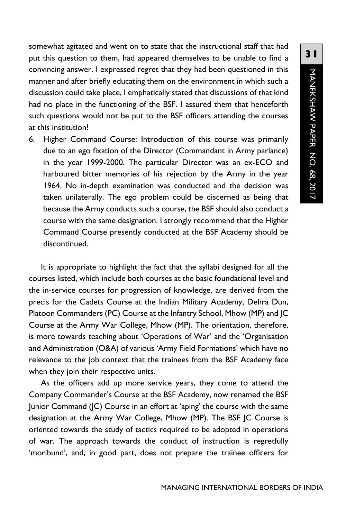somewhat agitated and went on to state that the instructional staff that had put this question to them, had appeared themselves to be unable to find a convincing answer. I expressed regret that they had been questioned in this manner and after briefly educating them on the environment in which such a discussion could take place, I emphatically stated that discussions of that kind had no place in the functioning of the BSF. I assured them that henceforth such questions would not be put to the BSF officers attending the courses at this institution!

6. Higher Command Course: Introduction of this course was primarily due to an ego fixation of the Director (Commandant in Army parlance) in the year 1999-2000. The particular Director was an ex-ECO and harboured bitter memories of his rejection by the Army in the year 1964. No in-depth examination was conducted and the decision was taken unilaterally. The ego problem could be discerned as being that because the Army conducts such a course, the BSF should also conduct a course with the same designation. I strongly recommend that the Higher Command Course presently conducted at the BSF Academy should be discontinued.

It is appropriate to highlight the fact that the syllabi designed for all the courses listed, which include both courses at the basic foundational level and the in-service courses for progression of knowledge, are derived from the precis for the Cadets Course at the Indian Military Academy, Dehra Dun, Platoon Commanders (PC) Course at the Infantry School, Mhow (MP) and JC Course at the Army War College, Mhow (MP). The orientation, therefore, is more towards teaching about 'Operations of War' and the 'Organisation and Administration (O&A) of various 'Army Field Formations' which have no relevance to the job context that the trainees from the BSF Academy face when they join their respective units.

As the officers add up more service years, they come to attend the Company Commander's Course at the BSF Academy, now renamed the BSF Junior Command (JC) Course in an effort at 'aping' the course with the same designation at the Army War College, Mhow (MP). The BSF JC Course is oriented towards the study of tactics required to be adopted in operations of war. The approach towards the conduct of instruction is regretfully 'moribund', and, in good part, does not prepare the trainee officers for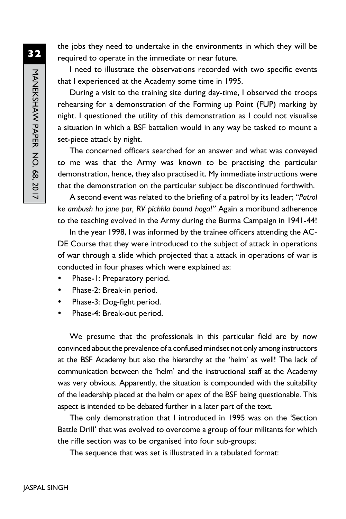the jobs they need to undertake in the environments in which they will be required to operate in the immediate or near future.

I need to illustrate the observations recorded with two specific events that I experienced at the Academy some time in 1995.

During a visit to the training site during day-time, I observed the troops rehearsing for a demonstration of the Forming up Point (FUP) marking by night. I questioned the utility of this demonstration as I could not visualise a situation in which a BSF battalion would in any way be tasked to mount a set-piece attack by night.

The concerned officers searched for an answer and what was conveyed to me was that the Army was known to be practising the particular demonstration, hence, they also practised it. My immediate instructions were that the demonstration on the particular subject be discontinued forthwith.

A second event was related to the briefing of a patrol by its leader; "*Patrol ke ambush ho jane par, RV pichhla bound hoga!"* Again a moribund adherence to the teaching evolved in the Army during the Burma Campaign in 1941-44!

In the year 1998, I was informed by the trainee officers attending the AC-DE Course that they were introduced to the subject of attack in operations of war through a slide which projected that a attack in operations of war is conducted in four phases which were explained as:

- Phase-1: Preparatory period.
- Phase-2: Break-in period.
- Phase-3: Dog-fight period.
- Phase-4: Break-out period.

We presume that the professionals in this particular field are by now convinced about the prevalence of a confused mindset not only among instructors at the BSF Academy but also the hierarchy at the 'helm' as well! The lack of communication between the 'helm' and the instructional staff at the Academy was very obvious. Apparently, the situation is compounded with the suitability of the leadership placed at the helm or apex of the BSF being questionable. This aspect is intended to be debated further in a later part of the text.

The only demonstration that I introduced in 1995 was on the 'Section Battle Drill' that was evolved to overcome a group of four militants for which the rifle section was to be organised into four sub-groups;

The sequence that was set is illustrated in a tabulated format: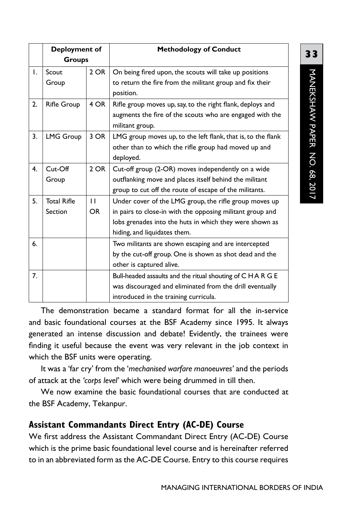|    | <b>Deployment of</b> |              | <b>Methodology of Conduct</b>                                |
|----|----------------------|--------------|--------------------------------------------------------------|
|    | Groups               |              |                                                              |
| Τ. | Scout                | 2 OR         | On being fired upon, the scouts will take up positions       |
|    | Group                |              | to return the fire from the militant group and fix their     |
|    |                      |              | position.                                                    |
| 2. | <b>Rifle Group</b>   | 4 OR         | Rifle group moves up, say, to the right flank, deploys and   |
|    |                      |              | augments the fire of the scouts who are engaged with the     |
|    |                      |              | militant group.                                              |
| 3. | <b>LMG Group</b>     | 3 OR         | LMG group moves up, to the left flank, that is, to the flank |
|    |                      |              | other than to which the rifle group had moved up and         |
|    |                      |              | deployed.                                                    |
| 4. | Cut-Off              | $2$ OR       | Cut-off group (2-OR) moves independently on a wide           |
|    | Group                |              | outflanking move and places itself behind the militant       |
|    |                      |              | group to cut off the route of escape of the militants.       |
| 5. | <b>Total Rifle</b>   | $\mathbf{H}$ | Under cover of the LMG group, the rifle group moves up       |
|    | Section              | OR.          | in pairs to close-in with the opposing militant group and    |
|    |                      |              | lobs grenades into the huts in which they were shown as      |
|    |                      |              | hiding, and liquidates them.                                 |
| 6. |                      |              | Two militants are shown escaping and are intercepted         |
|    |                      |              | by the cut-off group. One is shown as shot dead and the      |
|    |                      |              | other is captured alive.                                     |
| 7. |                      |              | Bull-headed assaults and the ritual shouting of C H A R G E  |
|    |                      |              | was discouraged and eliminated from the drill eventually     |
|    |                      |              | introduced in the training curricula.                        |

The demonstration became a standard format for all the in-service and basic foundational courses at the BSF Academy since 1995. It always generated an intense discussion and debate! Evidently, the trainees were finding it useful because the event was very relevant in the job context in which the BSF units were operating.

It was a 'far cry' from the '*mechanised warfare manoeuvres'* and the periods of attack at the *'corps level'* which were being drummed in till then.

We now examine the basic foundational courses that are conducted at the BSF Academy, Tekanpur.

## **Assistant Commandants Direct Entry (AC-DE) Course**

We first address the Assistant Commandant Direct Entry (AC-DE) Course which is the prime basic foundational level course and is hereinafter referred to in an abbreviated form as the AC-DE Course. Entry to this course requires

**33**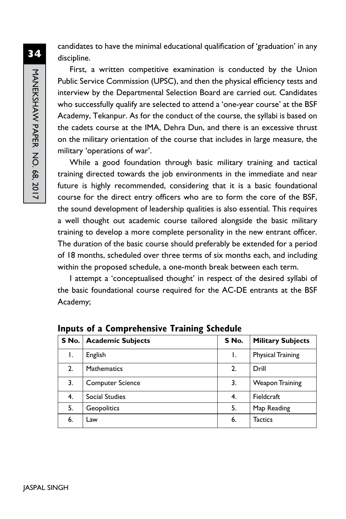candidates to have the minimal educational qualification of 'graduation' in any discipline.

First, a written competitive examination is conducted by the Union Public Service Commission (UPSC), and then the physical efficiency tests and interview by the Departmental Selection Board are carried out. Candidates who successfully qualify are selected to attend a 'one-year course' at the BSF Academy, Tekanpur. As for the conduct of the course, the syllabi is based on the cadets course at the IMA, Dehra Dun, and there is an excessive thrust on the military orientation of the course that includes in large measure, the military 'operations of war'.

While a good foundation through basic military training and tactical training directed towards the job environments in the immediate and near future is highly recommended, considering that it is a basic foundational course for the direct entry officers who are to form the core of the BSF, the sound development of leadership qualities is also essential. This requires a well thought out academic course tailored alongside the basic military training to develop a more complete personality in the new entrant officer. The duration of the basic course should preferably be extended for a period of 18 months, scheduled over three terms of six months each, and including within the proposed schedule, a one-month break between each term.

I attempt a 'conceptualised thought' in respect of the desired syllabi of the basic foundational course required for the AC-DE entrants at the BSF Academy;

|    | S No.   Academic Subjects | S No. | <b>Military Subjects</b> |
|----|---------------------------|-------|--------------------------|
| ۱. | English                   | ı.    | <b>Physical Training</b> |
| 2. | <b>Mathematics</b>        | 2.    | Drill                    |
| 3. | <b>Computer Science</b>   | 3.    | Weapon Training          |
| 4. | Social Studies            | 4.    | Fieldcraft               |
| 5. | Geopolitics               | 5.    | Map Reading              |
| 6. | Law                       | 6.    | <b>Tactics</b>           |

**Inputs of a Comprehensive Training Schedule**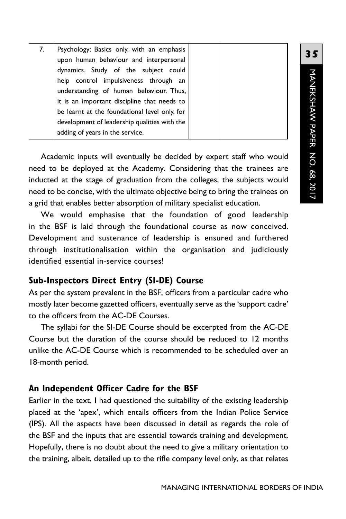| 7.                                            | Psychology: Basics only, with an emphasis    |  |
|-----------------------------------------------|----------------------------------------------|--|
|                                               | upon human behaviour and interpersonal       |  |
|                                               | dynamics. Study of the subject could         |  |
|                                               | help control impulsiveness through an        |  |
|                                               | understanding of human behaviour. Thus,      |  |
|                                               | it is an important discipline that needs to  |  |
| be learnt at the foundational level only, for |                                              |  |
|                                               | development of leadership qualities with the |  |
|                                               | adding of years in the service.              |  |

Academic inputs will eventually be decided by expert staff who would need to be deployed at the Academy. Considering that the trainees are inducted at the stage of graduation from the colleges, the subjects would need to be concise, with the ultimate objective being to bring the trainees on a grid that enables better absorption of military specialist education.

We would emphasise that the foundation of good leadership in the BSF is laid through the foundational course as now conceived. Development and sustenance of leadership is ensured and furthered through institutionalisation within the organisation and judiciously identified essential in-service courses!

### **Sub-Inspectors Direct Entry (SI-DE) Course**

As per the system prevalent in the BSF, officers from a particular cadre who mostly later become gazetted officers, eventually serve as the 'support cadre' to the officers from the AC-DE Courses.

The syllabi for the SI-DE Course should be excerpted from the AC-DE Course but the duration of the course should be reduced to 12 months unlike the AC-DE Course which is recommended to be scheduled over an 18-month period.

### **An Independent Officer Cadre for the BSF**

Earlier in the text, I had questioned the suitability of the existing leadership placed at the 'apex', which entails officers from the Indian Police Service (IPS). All the aspects have been discussed in detail as regards the role of the BSF and the inputs that are essential towards training and development. Hopefully, there is no doubt about the need to give a military orientation to the training, albeit, detailed up to the rifle company level only, as that relates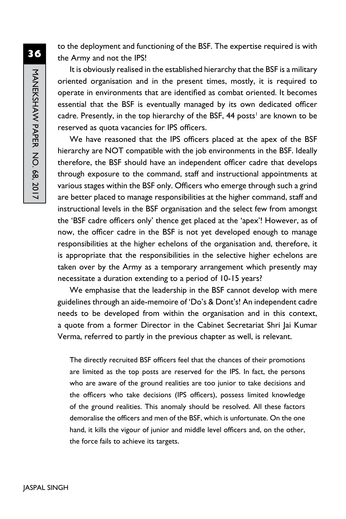to the deployment and functioning of the BSF. The expertise required is with the Army and not the IPS!

It is obviously realised in the established hierarchy that the BSF is a military oriented organisation and in the present times, mostly, it is required to operate in environments that are identified as combat oriented. It becomes essential that the BSF is eventually managed by its own dedicated officer cadre. Presently, in the top hierarchy of the BSF, 44 posts<sup>1</sup> are known to be reserved as quota vacancies for IPS officers.

We have reasoned that the IPS officers placed at the apex of the BSF hierarchy are NOT compatible with the job environments in the BSF. Ideally therefore, the BSF should have an independent officer cadre that develops through exposure to the command, staff and instructional appointments at various stages within the BSF only. Officers who emerge through such a grind are better placed to manage responsibilities at the higher command, staff and instructional levels in the BSF organisation and the select few from amongst the 'BSF cadre officers only' thence get placed at the 'apex'! However, as of now, the officer cadre in the BSF is not yet developed enough to manage responsibilities at the higher echelons of the organisation and, therefore, it is appropriate that the responsibilities in the selective higher echelons are taken over by the Army as a temporary arrangement which presently may necessitate a duration extending to a period of 10-15 years?

We emphasise that the leadership in the BSF cannot develop with mere guidelines through an aide-memoire of 'Do's & Dont's! An independent cadre needs to be developed from within the organisation and in this context, a quote from a former Director in the Cabinet Secretariat Shri Jai Kumar Verma, referred to partly in the previous chapter as well, is relevant.

The directly recruited BSF officers feel that the chances of their promotions are limited as the top posts are reserved for the IPS. In fact, the persons who are aware of the ground realities are too junior to take decisions and the officers who take decisions (IPS officers), possess limited knowledge of the ground realities. This anomaly should be resolved. All these factors demoralise the officers and men of the BSF, which is unfortunate. On the one hand, it kills the vigour of junior and middle level officers and, on the other, the force fails to achieve its targets.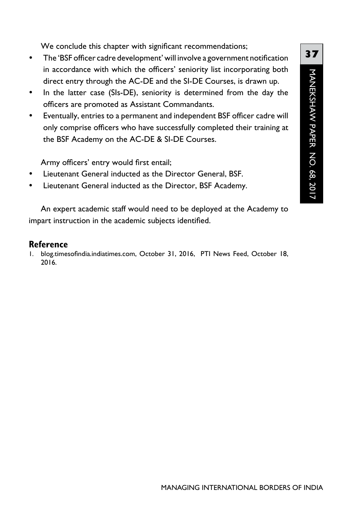**37**MANEKSHAW PAPER NO. 68, 2017 manekshaw Paper No. 68, 2017

We conclude this chapter with significant recommendations;

- The 'BSF officer cadre development' will involve a government notification in accordance with which the officers' seniority list incorporating both direct entry through the AC-DE and the SI-DE Courses, is drawn up.
- In the latter case (SIs-DE), seniority is determined from the day the officers are promoted as Assistant Commandants.
- Eventually, entries to a permanent and independent BSF officer cadre will only comprise officers who have successfully completed their training at the BSF Academy on the AC-DE & SI-DE Courses.

Army officers' entry would first entail;

- Lieutenant General inducted as the Director General, BSF.
- Lieutenant General inducted as the Director, BSF Academy.

An expert academic staff would need to be deployed at the Academy to impart instruction in the academic subjects identified.

#### **Reference**

1. blog.timesofindia.indiatimes.com, October 31, 2016, PTI News Feed, October 18, 2016.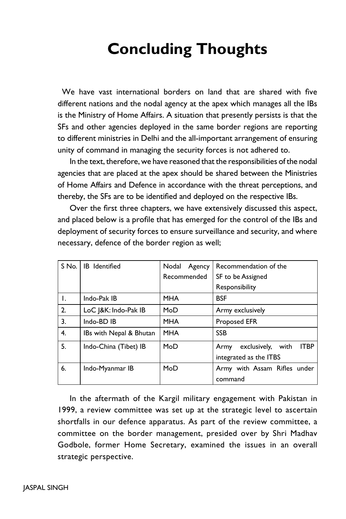# **Concluding Thoughts**

 We have vast international borders on land that are shared with five different nations and the nodal agency at the apex which manages all the IBs is the Ministry of Home Affairs. A situation that presently persists is that the SFs and other agencies deployed in the same border regions are reporting to different ministries in Delhi and the all-important arrangement of ensuring unity of command in managing the security forces is not adhered to.

In the text, therefore, we have reasoned that the responsibilities of the nodal agencies that are placed at the apex should be shared between the Ministries of Home Affairs and Defence in accordance with the threat perceptions, and thereby, the SFs are to be identified and deployed on the respective IBs.

Over the first three chapters, we have extensively discussed this aspect, and placed below is a profile that has emerged for the control of the IBs and deployment of security forces to ensure surveillance and security, and where necessary, defence of the border region as well;

| S No. | <b>IB</b> Identified    | Nodal<br>Agency | Recommendation of the                       |
|-------|-------------------------|-----------------|---------------------------------------------|
|       |                         | Recommended     | SF to be Assigned                           |
|       |                         |                 | Responsibility                              |
| Τ.    | Indo-Pak IB             | <b>MHA</b>      | <b>BSF</b>                                  |
| 2.    | LoC   & K: Indo-Pak IB  | MoD             | Army exclusively                            |
| 3.    | Indo-BD IB              | <b>MHA</b>      | <b>Proposed EFR</b>                         |
| 4.    | IBs with Nepal & Bhutan | <b>MHA</b>      | <b>SSB</b>                                  |
| 5.    | Indo-China (Tibet) IB   | MoD             | <b>ITBP</b><br>exclusively,<br>with<br>Army |
|       |                         |                 | integrated as the ITBS                      |
| 6.    | Indo-Myanmar IB         | MoD             | Army with Assam Rifles under                |
|       |                         |                 | command                                     |

In the aftermath of the Kargil military engagement with Pakistan in 1999, a review committee was set up at the strategic level to ascertain shortfalls in our defence apparatus. As part of the review committee, a committee on the border management, presided over by Shri Madhav Godbole, former Home Secretary, examined the issues in an overall strategic perspective.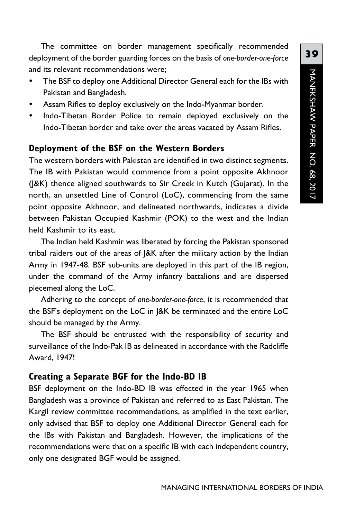The committee on border management specifically recommended deployment of the border guarding forces on the basis of *one-border-one-force*  and its relevant recommendations were;

- The BSF to deploy one Additional Director General each for the IBs with Pakistan and Bangladesh.
- Assam Rifles to deploy exclusively on the Indo-Myanmar border.
- Indo-Tibetan Border Police to remain deployed exclusively on the Indo-Tibetan border and take over the areas vacated by Assam Rifles.

#### **Deployment of the BSF on the Western Borders**

The western borders with Pakistan are identified in two distinct segments. The IB with Pakistan would commence from a point opposite Akhnoor (J&K) thence aligned southwards to Sir Creek in Kutch (Gujarat). In the north, an unsettled Line of Control (LoC), commencing from the same point opposite Akhnoor, and delineated northwards, indicates a divide between Pakistan Occupied Kashmir (POK) to the west and the Indian held Kashmir to its east.

The Indian held Kashmir was liberated by forcing the Pakistan sponsored tribal raiders out of the areas of J&K after the military action by the Indian Army in 1947-48. BSF sub-units are deployed in this part of the IB region, under the command of the Army infantry battalions and are dispersed piecemeal along the LoC.

Adhering to the concept of *one-border-one-force*, it is recommended that the BSF's deployment on the LoC in J&K be terminated and the entire LoC should be managed by the Army.

The BSF should be entrusted with the responsibility of security and surveillance of the Indo-Pak IB as delineated in accordance with the Radcliffe Award, 1947!

#### **Creating a Separate BGF for the Indo-BD IB**

BSF deployment on the Indo-BD IB was effected in the year 1965 when Bangladesh was a province of Pakistan and referred to as East Pakistan. The Kargil review committee recommendations, as amplified in the text earlier, only advised that BSF to deploy one Additional Director General each for the IBs with Pakistan and Bangladesh. However, the implications of the recommendations were that on a specific IB with each independent country, only one designated BGF would be assigned.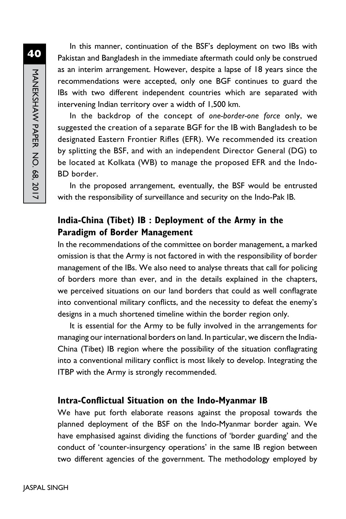**40**MANEKSHAW PAPER NO. 68, 2017 MANEKSHAW PAPER No. 68, 2017

In this manner, continuation of the BSF's deployment on two IBs with Pakistan and Bangladesh in the immediate aftermath could only be construed as an interim arrangement. However, despite a lapse of 18 years since the recommendations were accepted, only one BGF continues to guard the IBs with two different independent countries which are separated with intervening Indian territory over a width of 1,500 km.

In the backdrop of the concept of *one-border-one force* only, we suggested the creation of a separate BGF for the IB with Bangladesh to be designated Eastern Frontier Rifles (EFR). We recommended its creation by splitting the BSF, and with an independent Director General (DG) to be located at Kolkata (WB) to manage the proposed EFR and the Indo-BD border.

In the proposed arrangement, eventually, the BSF would be entrusted with the responsibility of surveillance and security on the Indo-Pak IB.

## **India-China (Tibet) IB : Deployment of the Army in the Paradigm of Border Management**

In the recommendations of the committee on border management, a marked omission is that the Army is not factored in with the responsibility of border management of the IBs. We also need to analyse threats that call for policing of borders more than ever, and in the details explained in the chapters, we perceived situations on our land borders that could as well conflagrate into conventional military conflicts, and the necessity to defeat the enemy's designs in a much shortened timeline within the border region only.

It is essential for the Army to be fully involved in the arrangements for managing our international borders on land. In particular, we discern the India-China (Tibet) IB region where the possibility of the situation conflagrating into a conventional military conflict is most likely to develop. Integrating the ITBP with the Army is strongly recommended.

### **Intra-Conflictual Situation on the Indo-Myanmar IB**

We have put forth elaborate reasons against the proposal towards the planned deployment of the BSF on the Indo-Myanmar border again. We have emphasised against dividing the functions of 'border guarding' and the conduct of 'counter-insurgency operations' in the same IB region between two different agencies of the government. The methodology employed by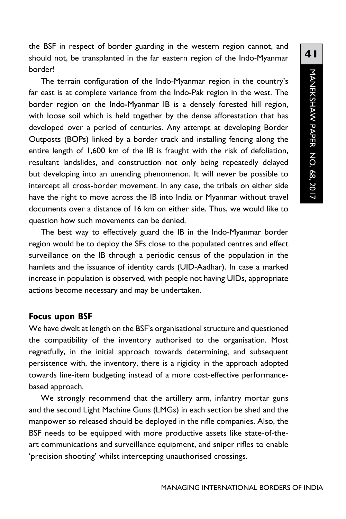the BSF in respect of border guarding in the western region cannot, and should not, be transplanted in the far eastern region of the Indo-Myanmar border!

The terrain configuration of the Indo-Myanmar region in the country's far east is at complete variance from the Indo-Pak region in the west. The border region on the Indo-Myanmar IB is a densely forested hill region, with loose soil which is held together by the dense afforestation that has developed over a period of centuries. Any attempt at developing Border Outposts (BOPs) linked by a border track and installing fencing along the entire length of 1,600 km of the IB is fraught with the risk of defoliation, resultant landslides, and construction not only being repeatedly delayed but developing into an unending phenomenon. It will never be possible to intercept all cross-border movement. In any case, the tribals on either side have the right to move across the IB into India or Myanmar without travel documents over a distance of 16 km on either side. Thus, we would like to question how such movements can be denied.

The best way to effectively guard the IB in the Indo-Myanmar border region would be to deploy the SFs close to the populated centres and effect surveillance on the IB through a periodic census of the population in the hamlets and the issuance of identity cards (UID-Aadhar). In case a marked increase in population is observed, with people not having UIDs, appropriate actions become necessary and may be undertaken.

#### **Focus upon BSF**

We have dwelt at length on the BSF's organisational structure and questioned the compatibility of the inventory authorised to the organisation. Most regretfully, in the initial approach towards determining, and subsequent persistence with, the inventory, there is a rigidity in the approach adopted towards line-item budgeting instead of a more cost-effective performancebased approach.

We strongly recommend that the artillery arm, infantry mortar guns and the second Light Machine Guns (LMGs) in each section be shed and the manpower so released should be deployed in the rifle companies. Also, the BSF needs to be equipped with more productive assets like state-of-theart communications and surveillance equipment, and sniper rifles to enable 'precision shooting' whilst intercepting unauthorised crossings.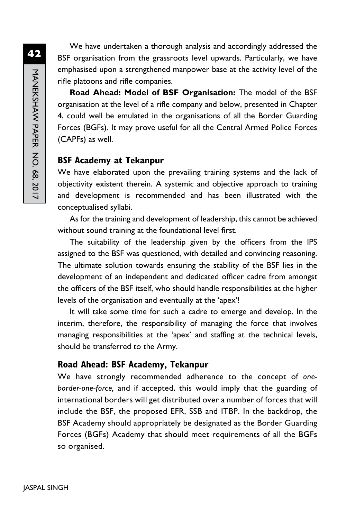We have undertaken a thorough analysis and accordingly addressed the BSF organisation from the grassroots level upwards. Particularly, we have emphasised upon a strengthened manpower base at the activity level of the rifle platoons and rifle companies.

**Road Ahead: Model of BSF Organisation:** The model of the BSF organisation at the level of a rifle company and below, presented in Chapter 4, could well be emulated in the organisations of all the Border Guarding Forces (BGFs). It may prove useful for all the Central Armed Police Forces (CAPFs) as well.

#### **BSF Academy at Tekanpur**

We have elaborated upon the prevailing training systems and the lack of objectivity existent therein. A systemic and objective approach to training and development is recommended and has been illustrated with the conceptualised syllabi.

As for the training and development of leadership, this cannot be achieved without sound training at the foundational level first.

The suitability of the leadership given by the officers from the IPS assigned to the BSF was questioned, with detailed and convincing reasoning. The ultimate solution towards ensuring the stability of the BSF lies in the development of an independent and dedicated officer cadre from amongst the officers of the BSF itself, who should handle responsibilities at the higher levels of the organisation and eventually at the 'apex'!

It will take some time for such a cadre to emerge and develop. In the interim, therefore, the responsibility of managing the force that involves managing responsibilities at the 'apex' and staffing at the technical levels, should be transferred to the Army.

### **Road Ahead: BSF Academy, Tekanpur**

We have strongly recommended adherence to the concept of *oneborder-one-force,* and if accepted, this would imply that the guarding of international borders will get distributed over a number of forces that will include the BSF, the proposed EFR, SSB and ITBP. In the backdrop, the BSF Academy should appropriately be designated as the Border Guarding Forces (BGFs) Academy that should meet requirements of all the BGFs so organised.